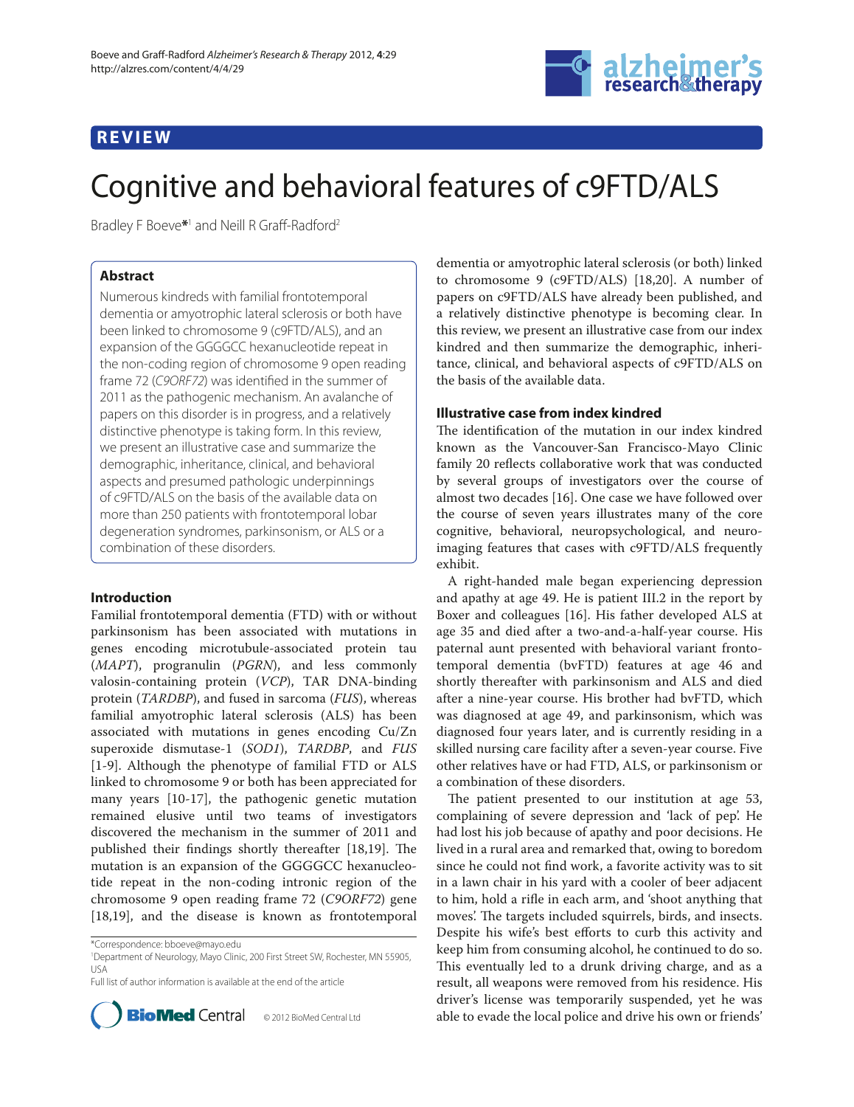

# **REVIE W**

# Cognitive and behavioral features of c9FTD/ALS

Bradley F Boeve\*<sup>1</sup> and Neill R Graff-Radford<sup>2</sup>

# **Abstract**

Numerous kindreds with familial frontotemporal dementia or amyotrophic lateral sclerosis or both have been linked to chromosome 9 (c9FTD/ALS), and an expansion of the GGGGCC hexanucleotide repeat in the non-coding region of chromosome 9 open reading frame 72 (C9ORF72) was identified in the summer of 2011 as the pathogenic mechanism. An avalanche of papers on this disorder is in progress, and a relatively distinctive phenotype is taking form. In this review, we present an illustrative case and summarize the demographic, inheritance, clinical, and behavioral aspects and presumed pathologic underpinnings of c9FTD/ALS on the basis of the available data on more than 250 patients with frontotemporal lobar degeneration syndromes, parkinsonism, or ALS or a combination of these disorders.

# **Introduction**

Familial frontotemporal dementia (FTD) with or without parkinsonism has been associated with mutations in genes encoding microtubule-associated protein tau (*MAPT*), progranulin (*PGRN*), and less commonly valosin-containing protein (*VCP*), TAR DNA-binding protein (*TARDBP*), and fused in sarcoma (*FUS*), whereas familial amyotrophic lateral sclerosis (ALS) has been associated with mutations in genes encoding Cu/Zn superoxide dismutase-1 (*SOD1*), *TARDBP*, and *FUS* [1-9]. Although the phenotype of familial FTD or ALS linked to chromosome 9 or both has been appreciated for many years [10-17], the pathogenic genetic mutation remained elusive until two teams of investigators discovered the mechanism in the summer of 2011 and published their findings shortly thereafter  $[18,19]$ . The mutation is an expansion of the GGGGCC hexanucleotide repeat in the non-coding intronic region of the chromosome 9 open reading frame 72 (*C9ORF72*) gene [18,19], and the disease is known as frontotemporal

Full list of author information is available at the end of the article



dementia or amyotrophic lateral sclerosis (or both) linked to chromosome 9 (c9FTD/ALS) [18,20]. A number of papers on c9FTD/ALS have already been published, and a relatively distinctive phenotype is becoming clear. In this review, we present an illustrative case from our index kindred and then summarize the demographic, inheritance, clinical, and behavioral aspects of c9FTD/ALS on the basis of the available data.

# **Illustrative case from index kindred**

The identification of the mutation in our index kindred known as the Vancouver-San Francisco-Mayo Clinic family 20 reflects collaborative work that was conducted by several groups of investigators over the course of almost two decades [16]. One case we have followed over the course of seven years illustrates many of the core cognitive, behavioral, neuropsychological, and neuroimaging features that cases with c9FTD/ALS frequently exhibit.

A right-handed male began experiencing depression and apathy at age 49. He is patient III.2 in the report by Boxer and colleagues [16]. His father developed ALS at age 35 and died after a two-and-a-half-year course. His paternal aunt presented with behavioral variant frontotemporal dementia (bvFTD) features at age 46 and shortly thereafter with parkinsonism and ALS and died after a nine-year course. His brother had bvFTD, which was diagnosed at age 49, and parkinsonism, which was diagnosed four years later, and is currently residing in a skilled nursing care facility after a seven-year course. Five other relatives have or had FTD, ALS, or parkinsonism or a combination of these disorders.

The patient presented to our institution at age 53, complaining of severe depression and 'lack of pep'. He had lost his job because of apathy and poor decisions. He lived in a rural area and remarked that, owing to boredom since he could not find work, a favorite activity was to sit in a lawn chair in his yard with a cooler of beer adjacent to him, hold a rifle in each arm, and 'shoot anything that moves'. The targets included squirrels, birds, and insects. Despite his wife's best efforts to curb this activity and keep him from consuming alcohol, he continued to do so. This eventually led to a drunk driving charge, and as a result, all weapons were removed from his residence. His driver's license was temporarily suspended, yet he was able to evade the local police and drive his own or friends'

<sup>\*</sup>Correspondence: bboeve@mayo.edu

<sup>1</sup> Department of Neurology, Mayo Clinic, 200 First Street SW, Rochester, MN 55905, USA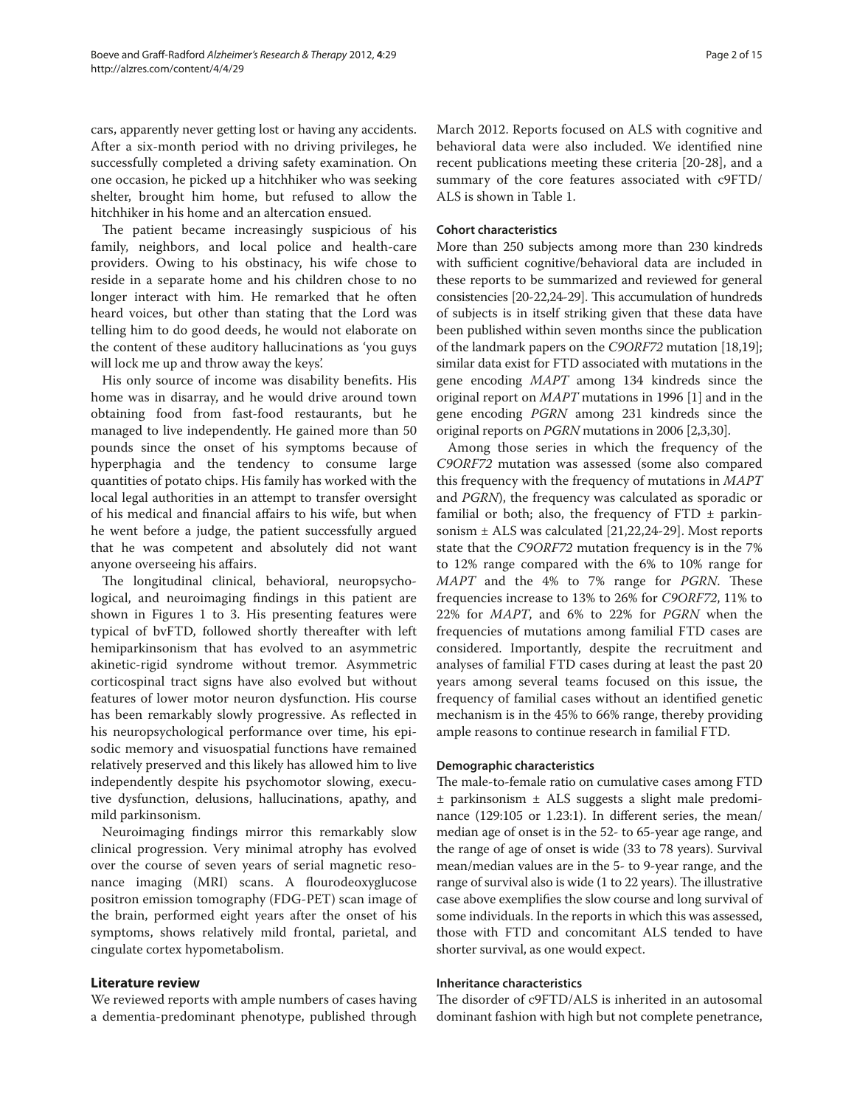cars, apparently never getting lost or having any accidents. After a six-month period with no driving privileges, he successfully completed a driving safety examination. On one occasion, he picked up a hitchhiker who was seeking shelter, brought him home, but refused to allow the hitchhiker in his home and an altercation ensued.

The patient became increasingly suspicious of his family, neighbors, and local police and health-care providers. Owing to his obstinacy, his wife chose to reside in a separate home and his children chose to no longer interact with him. He remarked that he often heard voices, but other than stating that the Lord was telling him to do good deeds, he would not elaborate on the content of these auditory hallucinations as 'you guys will lock me up and throw away the keys'.

His only source of income was disability benefits. His home was in disarray, and he would drive around town obtaining food from fast-food restaurants, but he managed to live independently. He gained more than 50 pounds since the onset of his symptoms because of hyperphagia and the tendency to consume large quantities of potato chips. His family has worked with the local legal authorities in an attempt to transfer oversight of his medical and financial affairs to his wife, but when he went before a judge, the patient successfully argued that he was competent and absolutely did not want anyone overseeing his affairs.

The longitudinal clinical, behavioral, neuropsychological, and neuroimaging findings in this patient are shown in Figures 1 to 3. His presenting features were typical of bvFTD, followed shortly thereafter with left hemiparkinsonism that has evolved to an asymmetric akinetic-rigid syndrome without tremor. Asymmetric corticospinal tract signs have also evolved but without features of lower motor neuron dysfunction. His course has been remarkably slowly progressive. As reflected in his neuropsychological performance over time, his episodic memory and visuospatial functions have remained relatively preserved and this likely has allowed him to live independently despite his psychomotor slowing, executive dysfunction, delusions, hallucinations, apathy, and mild parkinsonism.

Neuroimaging findings mirror this remarkably slow clinical progression. Very minimal atrophy has evolved over the course of seven years of serial magnetic resonance imaging (MRI) scans. A flourodeoxyglucose positron emission tomography (FDG-PET) scan image of the brain, performed eight years after the onset of his symptoms, shows relatively mild frontal, parietal, and cingulate cortex hypometabolism.

# **Literature review**

We reviewed reports with ample numbers of cases having a dementia-predominant phenotype, published through March 2012. Reports focused on ALS with cognitive and behavioral data were also included. We identified nine recent publications meeting these criteria [20-28], and a summary of the core features associated with c9FTD/ ALS is shown in Table 1.

## **Cohort characteristics**

More than 250 subjects among more than 230 kindreds with sufficient cognitive/behavioral data are included in these reports to be summarized and reviewed for general consistencies [20-22,24-29]. This accumulation of hundreds of subjects is in itself striking given that these data have been published within seven months since the publication of the landmark papers on the *C9ORF72* mutation [18,19]; similar data exist for FTD associated with mutations in the gene encoding *MAPT* among 134 kindreds since the original report on *MAPT* mutations in 1996 [1] and in the gene encoding *PGRN* among 231 kindreds since the original reports on *PGRN* mutations in 2006 [2,3,30].

Among those series in which the frequency of the *C9ORF72* mutation was assessed (some also compared this frequency with the frequency of mutations in *MAPT* and *PGRN*), the frequency was calculated as sporadic or familial or both; also, the frequency of  $FTD \pm$  parkinsonism ± ALS was calculated [21,22,24-29]. Most reports state that the *C9ORF72* mutation frequency is in the 7% to 12% range compared with the 6% to 10% range for *MAPT* and the 4% to 7% range for *PGRN*. These frequencies increase to 13% to 26% for *C9ORF72*, 11% to 22% for *MAPT*, and 6% to 22% for *PGRN* when the frequencies of mutations among familial FTD cases are considered. Importantly, despite the recruitment and analyses of familial FTD cases during at least the past 20 years among several teams focused on this issue, the frequency of familial cases without an identified genetic mechanism is in the 45% to 66% range, thereby providing ample reasons to continue research in familial FTD.

## **Demographic characteristics**

The male-to-female ratio on cumulative cases among FTD ± parkinsonism ± ALS suggests a slight male predominance (129:105 or 1.23:1). In different series, the mean/ median age of onset is in the 52- to 65-year age range, and the range of age of onset is wide (33 to 78 years). Survival mean/median values are in the 5- to 9-year range, and the range of survival also is wide (1 to 22 years). The illustrative case above exemplifies the slow course and long survival of some individuals. In the reports in which this was assessed, those with FTD and concomitant ALS tended to have shorter survival, as one would expect.

## **Inheritance characteristics**

The disorder of c9FTD/ALS is inherited in an autosomal dominant fashion with high but not complete penetrance,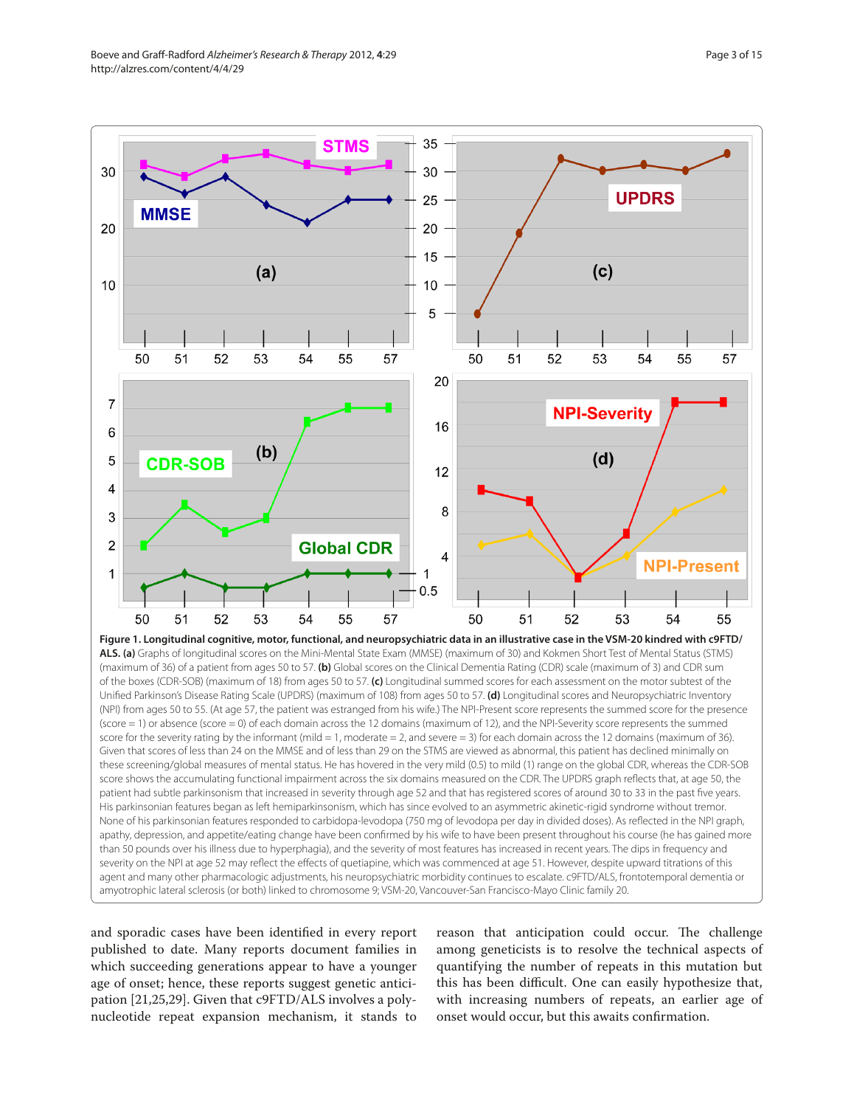

**ALS. (a)** Graphs of longitudinal scores on the Mini-Mental State Exam (MMSE) (maximum of 30) and Kokmen Short Test of Mental Status (STMS) (maximum of 36) of a patient from ages 50 to 57. **(b)** Global scores on the Clinical Dementia Rating (CDR) scale (maximum of 3) and CDR sum of the boxes (CDR-SOB) (maximum of 18) from ages 50 to 57. **(c)** Longitudinal summed scores for each assessment on the motor subtest of the Unified Parkinson's Disease Rating Scale (UPDRS) (maximum of 108) from ages 50 to 57. **(d)** Longitudinal scores and Neuropsychiatric Inventory (NPI) from ages 50 to 55. (At age 57, the patient was estranged from his wife.) The NPI-Present score represents the summed score for the presence (score = 1) or absence (score = 0) of each domain across the 12 domains (maximum of 12), and the NPI-Severity score represents the summed score for the severity rating by the informant (mild = 1, moderate = 2, and severe = 3) for each domain across the 12 domains (maximum of 36). Given that scores of less than 24 on the MMSE and of less than 29 on the STMS are viewed as abnormal, this patient has declined minimally on these screening/global measures of mental status. He has hovered in the very mild (0.5) to mild (1) range on the global CDR, whereas the CDR-SOB score shows the accumulating functional impairment across the six domains measured on the CDR. The UPDRS graph reflects that, at age 50, the patient had subtle parkinsonism that increased in severity through age 52 and that has registered scores of around 30 to 33 in the past five years. His parkinsonian features began as left hemiparkinsonism, which has since evolved to an asymmetric akinetic-rigid syndrome without tremor. None of his parkinsonian features responded to carbidopa-levodopa (750 mg of levodopa per day in divided doses). As reflected in the NPI graph, apathy, depression, and appetite/eating change have been confirmed by his wife to have been present throughout his course (he has gained more than 50 pounds over his illness due to hyperphagia), and the severity of most features has increased in recent years. The dips in frequency and severity on the NPI at age 52 may reflect the effects of quetiapine, which was commenced at age 51. However, despite upward titrations of this agent and many other pharmacologic adjustments, his neuropsychiatric morbidity continues to escalate. c9FTD/ALS, frontotemporal dementia or amyotrophic lateral sclerosis (or both) linked to chromosome 9; VSM-20, Vancouver-San Francisco-Mayo Clinic family 20.

and sporadic cases have been identified in every report published to date. Many reports document families in which succeeding generations appear to have a younger age of onset; hence, these reports suggest genetic anticipation [21,25,29]. Given that c9FTD/ALS involves a polynucleotide repeat expansion mechanism, it stands to

reason that anticipation could occur. The challenge among geneticists is to resolve the technical aspects of quantifying the number of repeats in this mutation but this has been difficult. One can easily hypothesize that, with increasing numbers of repeats, an earlier age of onset would occur, but this awaits confirmation.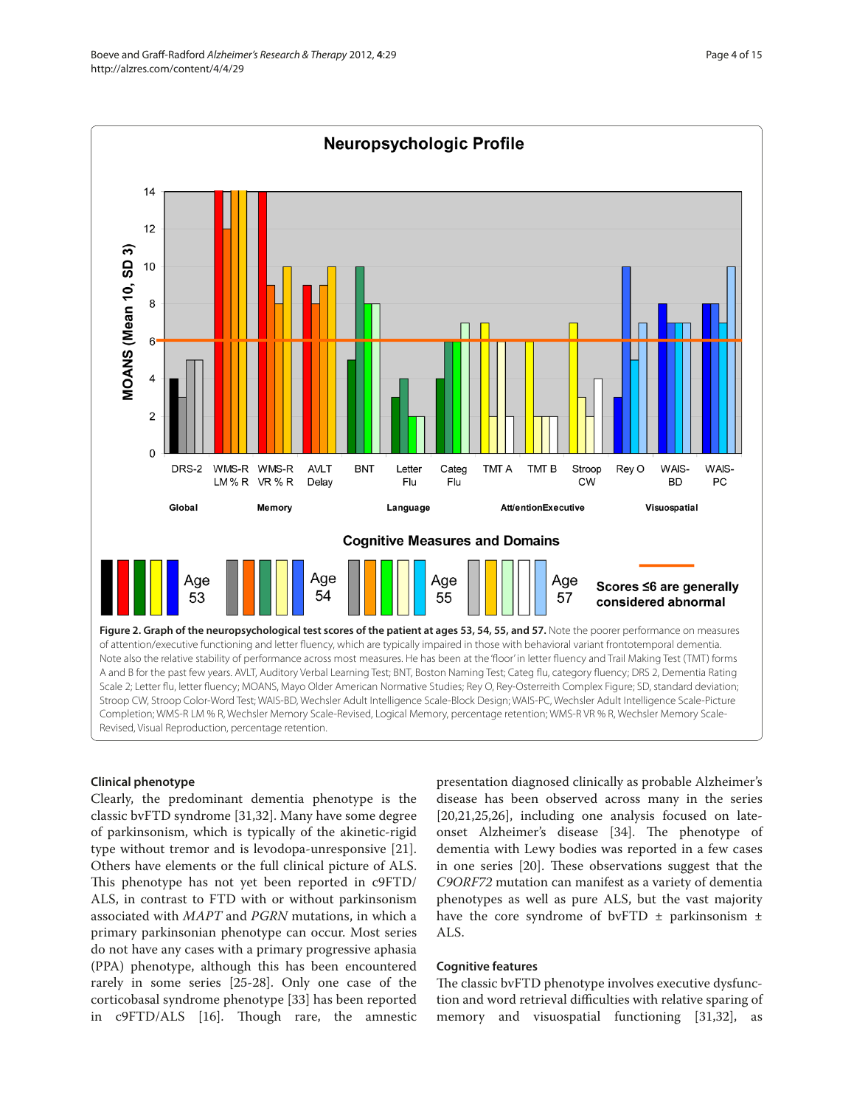

## **Clinical phenotype**

Clearly, the predominant dementia phenotype is the classic bvFTD syndrome [31,32]. Many have some degree of parkinsonism, which is typically of the akinetic-rigid type without tremor and is levodopa-unresponsive [21]. Others have elements or the full clinical picture of ALS. This phenotype has not yet been reported in c9FTD/ ALS, in contrast to FTD with or without parkinsonism associated with *MAPT* and *PGRN* mutations, in which a primary parkinsonian phenotype can occur. Most series do not have any cases with a primary progressive aphasia (PPA) phenotype, although this has been encountered rarely in some series [25-28]. Only one case of the corticobasal syndrome phenotype [33] has been reported in c9FTD/ALS [16]. Though rare, the amnestic

presentation diagnosed clinically as probable Alzheimer's disease has been observed across many in the series [20,21,25,26], including one analysis focused on lateonset Alzheimer's disease [34]. The phenotype of dementia with Lewy bodies was reported in a few cases in one series [20]. These observations suggest that the *C9ORF72* mutation can manifest as a variety of dementia phenotypes as well as pure ALS, but the vast majority have the core syndrome of bvFTD  $\pm$  parkinsonism  $\pm$ ALS.

# **Cognitive features**

The classic bvFTD phenotype involves executive dysfunction and word retrieval difficulties with relative sparing of memory and visuospatial functioning [31,32], as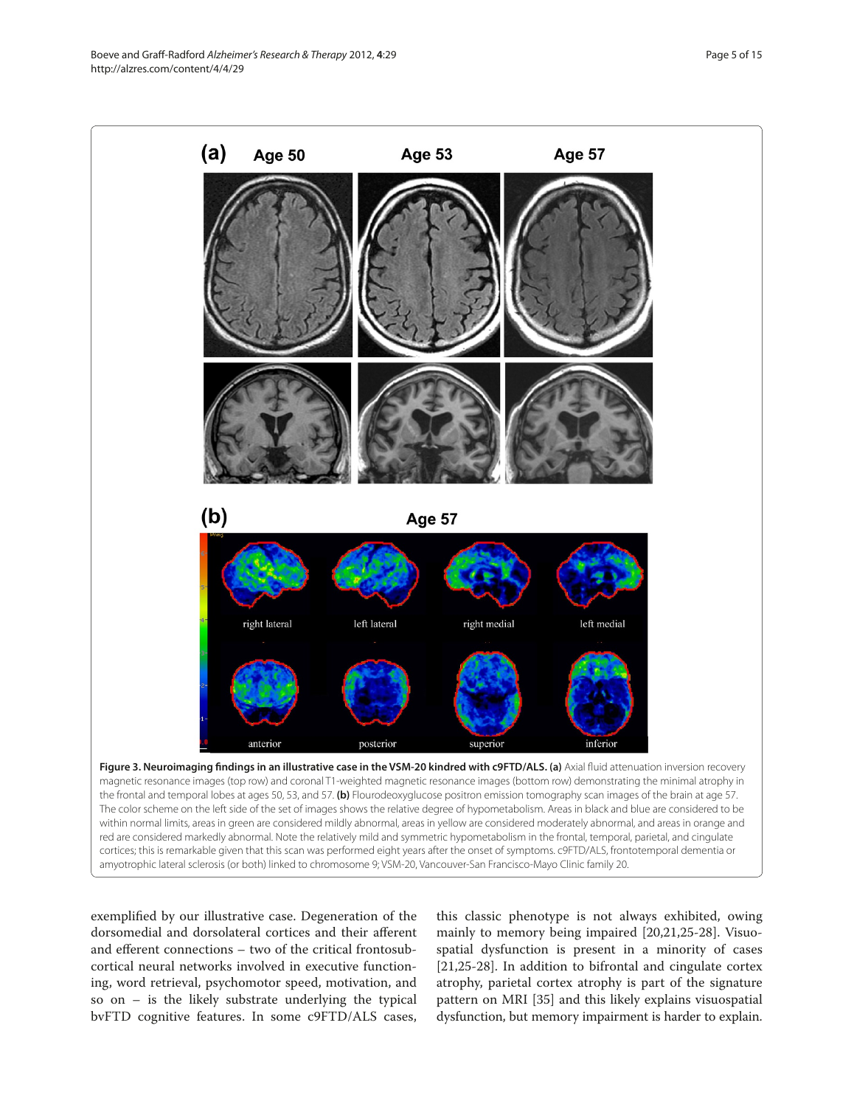

exemplified by our illustrative case. Degeneration of the dorsomedial and dorsolateral cortices and their afferent and efferent connections – two of the critical frontosubcortical neural networks involved in executive functioning, word retrieval, psychomotor speed, motivation, and so on  $-$  is the likely substrate underlying the typical bvFTD cognitive features. In some c9FTD/ALS cases, this classic phenotype is not always exhibited, owing mainly to memory being impaired [20,21,25-28]. Visuospatial dysfunction is present in a minority of cases [21,25-28]. In addition to bifrontal and cingulate cortex atrophy, parietal cortex atrophy is part of the signature pattern on MRI [35] and this likely explains visuospatial dysfunction, but memory impairment is harder to explain.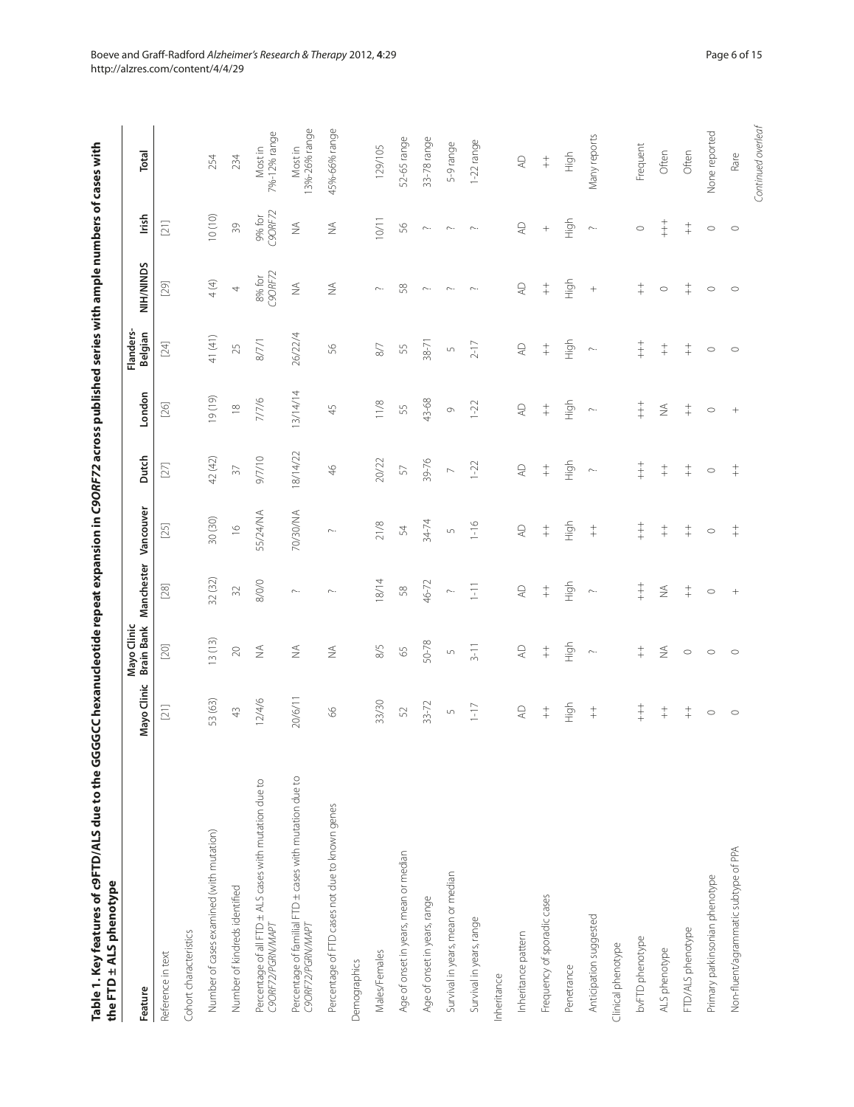| Feature                                                                      | Mayo Clinic      | Brain Bank<br>Mayo Clinic | Manchester    | Vancouver                 | Dutch                    | London                       | Flanders-<br>Belgian | <b>NIH/NINDS</b>                         | Irish                        | <b>Total</b>            |
|------------------------------------------------------------------------------|------------------|---------------------------|---------------|---------------------------|--------------------------|------------------------------|----------------------|------------------------------------------|------------------------------|-------------------------|
| Reference in text                                                            | $[21]$           | $[20]$                    | $[28]$        | $[25]$                    | $[27]$                   | $[26]$                       | $[24] \label{eq:24}$ | $[29]$                                   | $[21]$                       |                         |
| Cohort characteristics                                                       |                  |                           |               |                           |                          |                              |                      |                                          |                              |                         |
| Number of cases examined (with mutation)                                     | 53 (63)          | 13(13)                    | 32 (32)       | 30 (30)                   | 42 (42)                  | 19(19)                       | 41 (41)              | $4(4)$                                   | 10(10)                       | 254                     |
| Number of kindreds identified                                                | $43$             | $\gtrsim$                 | $\Im$         | $\frac{\infty}{\sqrt{2}}$ | $\mathfrak{Z}$           | $\approx$                    | 25                   | 4                                        | 39                           | 234                     |
| Percentage of all FTD ± ALS cases with mutation due to<br>C9ORF72/PGRN/MAPT  | 12/4/6           | $\lessapprox$             | 8/0/0         | 55/24/NA                  | 9/7/10                   | 7/7/6                        | 8/7/1                | C9ORF72<br>8% for                        | <b>C9ORF72</b><br>9% for     | 7%-12% range<br>Most in |
| Percentage of familial FTD ± cases with mutation due to<br>C9ORF72/PGRN/MAPT | 20/6/11          | $\lessapprox$             | $\sim$        | 70/30/NA                  | 8/14/22                  | 13/14/14                     | 26/22/4              | $\stackrel{\triangle}{\geq}$             | $\stackrel{\triangle}{\geq}$ | 3%-26% range<br>Most in |
| Percentage of FTD cases not due to known genes                               | $\infty$         | ≸                         | $\sim$        | $\sim$                    | $\frac{1}{2}$            | 45                           | 56                   | $\lessapprox$                            | $\lessgtr$                   | 45%-66% range           |
| Demographics                                                                 |                  |                           |               |                           |                          |                              |                      |                                          |                              |                         |
| Males/Females                                                                | 33/30            | 8/5                       | 18/14         | 21/8                      | 20/22                    | 11/8                         | 8/7                  | $\sim$                                   | 10/11                        | 129/105                 |
| Age of onset in years, mean or median                                        | $52\,$           | $65$                      | $58$          | 54                        | 57                       | 55                           | 55                   | 58                                       | 99                           | 52-65 range             |
| Age of onset in years, range                                                 | $33 - 72$        | 50-78                     | 46-72         | 34-74                     | 39-76                    | 43-68                        | $38 - 71$            | $\sim$                                   | $\sim$                       | 33-78 range             |
| Survival in years, mean or median                                            | $\mathsf{L}\cap$ | $\sqrt{ }$                | $\sim$        | $\mathsf{L}\cap$          | $\overline{\phantom{a}}$ | $\circlearrowright$          | $\mathsf{L}\cap$     |                                          |                              | 5-9 range               |
| Survival in years, range                                                     | $1 - 17$         | $3-11$                    | $1-11$        | $1 - 16$                  | $1 - 22$                 | $1 - 22$                     | $2 - 17$             |                                          |                              | $1-22$ range            |
| Inheritance                                                                  |                  |                           |               |                           |                          |                              |                      |                                          |                              |                         |
| Inheritance pattern                                                          | $\mathbb{Q}$     | $\mathbb{R}$              | $\mathbb{Q}$  | $\mathbb{Q}$              | $\mathbb{Q}$             | $\mathbb{Q}$                 | $\mathbb{Q}$         | $\mathrel{\mathop{\mathsf{Q}}}\nolimits$ | $\mathbb{Q}$                 | $\mathbb{Q}$            |
| Frequency of sporadic cases                                                  | $\ddagger$       | $\ddagger$                | $\ddagger$    | $\ddagger$                | $\ddagger$               | $\ddagger$                   | $\ddagger$           | $\ddagger$                               | $\! + \!\!\!\!$              | $_+^+$                  |
| Penetrance                                                                   | High             | High                      | High          | High                      | High                     | High                         | High                 | High                                     | High                         | High                    |
| Anticipation suggested                                                       | $\ddagger$       | $\sim$                    | $\sim$        | $\ddagger$                | $\sim$                   | $\sim$                       | $\sim$               |                                          | $\sim$                       | Many reports            |
| Clinical phenotype                                                           |                  |                           |               |                           |                          |                              |                      |                                          |                              |                         |
| bvFTD phenotype                                                              | $\ddagger$       | $\ddagger$                | $+$           | $\ddagger$                | $\ddagger$               | $\ddagger$                   | $\ddagger$           | $\ddagger$                               | $\circ$                      | Frequent                |
| ALS phenotype                                                                | $\ddagger$       | $\lessapprox$             | $\lessapprox$ | $\ddagger$                | $\ddagger$               | $\stackrel{\triangle}{\geq}$ | $\ddagger$           | $\circ$                                  | $\ddagger$                   | Often                   |
| FTD/ALS phenotype                                                            | $\ddagger$       | $\circ$                   | $_+^+$        | $\ddagger$                | $\ddagger$               | $\ddagger$                   | $\ddagger$           | $\ddagger$                               | $\ddagger$                   | Often                   |
| Primary parkinsonian phenotype                                               | $\circ$          | $\circ$                   | $\circ$       | $\circ$                   | $\circ$                  | $\circ$                      | $\circ$              | $\circ$                                  | $\circ$                      | None reported           |
| Non-fluent/agrammatic subtype of PPA                                         | $\circ$          | $\circ$                   | $^{+}$        | $\ddagger$                | $\ddagger$               |                              | $\circ$              | $\circ$                                  | $\circ$                      | Rare                    |

Boeve and Graff-Radford *Alzheimer's Research & Therapy* 2012, **4**:29 http://alzres.com/content/4/4/29

*Continued overleaf*

Continued overleaf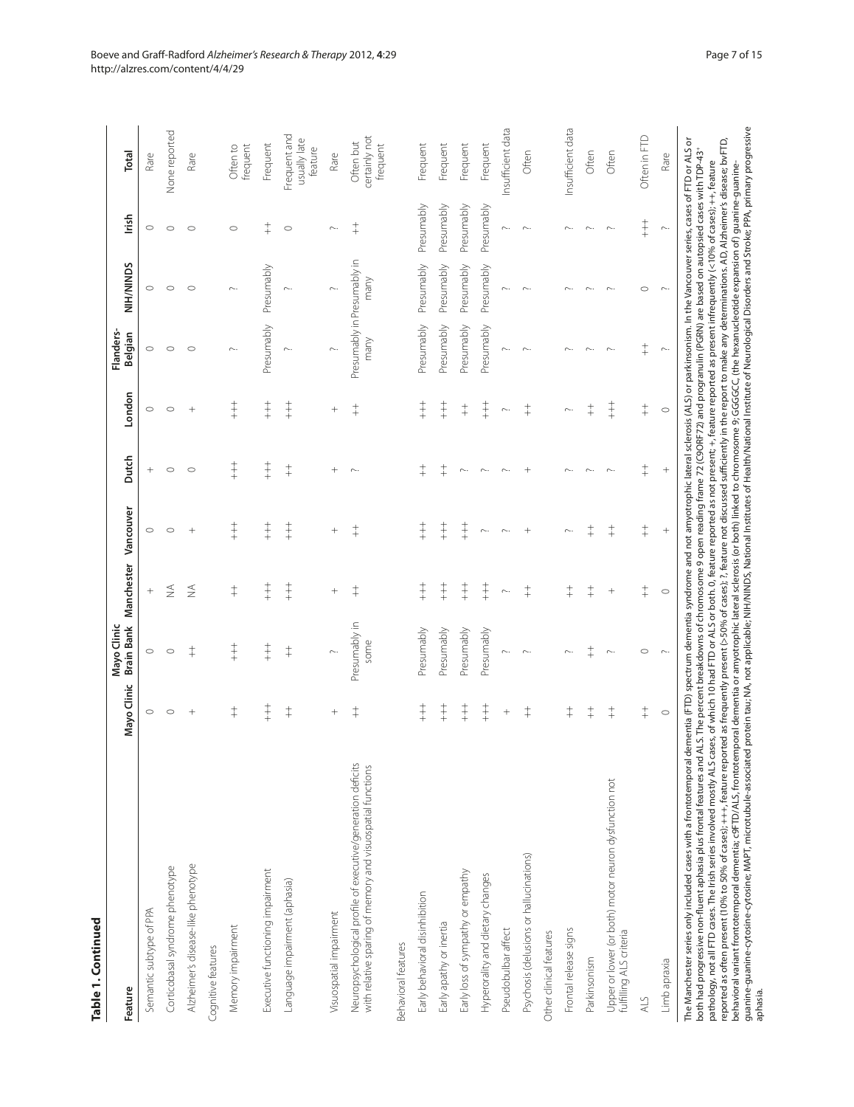|                                                                                                                                                                                                                                                                                                                                                                                                                                                                                                                                                                                                                                                                                                                                                                                                                                                                                                                                                                                                                                                                                                                                                                                                                                                                                                                                                             |             | Mayo Clinic                     |                    |            |            |            | <b>Flanders</b> |                                     |            |                                         |
|-------------------------------------------------------------------------------------------------------------------------------------------------------------------------------------------------------------------------------------------------------------------------------------------------------------------------------------------------------------------------------------------------------------------------------------------------------------------------------------------------------------------------------------------------------------------------------------------------------------------------------------------------------------------------------------------------------------------------------------------------------------------------------------------------------------------------------------------------------------------------------------------------------------------------------------------------------------------------------------------------------------------------------------------------------------------------------------------------------------------------------------------------------------------------------------------------------------------------------------------------------------------------------------------------------------------------------------------------------------|-------------|---------------------------------|--------------------|------------|------------|------------|-----------------|-------------------------------------|------------|-----------------------------------------|
| Feature                                                                                                                                                                                                                                                                                                                                                                                                                                                                                                                                                                                                                                                                                                                                                                                                                                                                                                                                                                                                                                                                                                                                                                                                                                                                                                                                                     | Mayo Clinic | Brain Bank Manchester Vancouver |                    |            | Dutch      | London     | Belgian         | NIH/NINDS                           | Irish      | <b>Total</b>                            |
| Semantic subtype of PPA                                                                                                                                                                                                                                                                                                                                                                                                                                                                                                                                                                                                                                                                                                                                                                                                                                                                                                                                                                                                                                                                                                                                                                                                                                                                                                                                     | 0           | $\circ$                         | $\! + \!\!\!\!$    | $\circ$    | $^+$       | $\circ$    | $\circ$         | $\circ$                             | $\circ$    | Rare                                    |
| Corticobasal syndrome phenotype                                                                                                                                                                                                                                                                                                                                                                                                                                                                                                                                                                                                                                                                                                                                                                                                                                                                                                                                                                                                                                                                                                                                                                                                                                                                                                                             | C           | O                               | $\widetilde{\geq}$ |            | O          | $\circ$    | $\circ$         | $\circ$                             | $\circ$    | None reported                           |
| Alzheimer's disease-like phenotype                                                                                                                                                                                                                                                                                                                                                                                                                                                                                                                                                                                                                                                                                                                                                                                                                                                                                                                                                                                                                                                                                                                                                                                                                                                                                                                          |             | $^{+}_{+}$                      | ₹                  |            | C          |            | C               | C                                   | C          | Rare                                    |
| Cognitive features                                                                                                                                                                                                                                                                                                                                                                                                                                                                                                                                                                                                                                                                                                                                                                                                                                                                                                                                                                                                                                                                                                                                                                                                                                                                                                                                          |             |                                 |                    |            |            |            |                 |                                     |            |                                         |
| Memory impairment                                                                                                                                                                                                                                                                                                                                                                                                                                                                                                                                                                                                                                                                                                                                                                                                                                                                                                                                                                                                                                                                                                                                                                                                                                                                                                                                           | $\ddagger$  | $\ddagger$                      | $\ddagger$         | $\ddagger$ | $\ddagger$ | $\ddagger$ | $\sim$          | $\sim$                              | $\circ$    | Often to<br>frequent                    |
| Executive functioning impairment                                                                                                                                                                                                                                                                                                                                                                                                                                                                                                                                                                                                                                                                                                                                                                                                                                                                                                                                                                                                                                                                                                                                                                                                                                                                                                                            | $+ +$       | $\ddagger$                      | $\ddagger$         | $\ddagger$ | $\ddagger$ | $\ddagger$ | Presumably      | Presumably                          | $\ddagger$ | Frequent                                |
| Language impairment (aphasia)                                                                                                                                                                                                                                                                                                                                                                                                                                                                                                                                                                                                                                                                                                                                                                                                                                                                                                                                                                                                                                                                                                                                                                                                                                                                                                                               | $\ddagger$  | $\ddagger$                      | $\ddagger$         | $\ddagger$ | $\ddagger$ | $\ddagger$ | $\sim$          | $\sim$                              | $\circ$    | Frequent and<br>usually late<br>feature |
| Visuospatial impairment                                                                                                                                                                                                                                                                                                                                                                                                                                                                                                                                                                                                                                                                                                                                                                                                                                                                                                                                                                                                                                                                                                                                                                                                                                                                                                                                     |             | $\mathop{\sim}\limits$          | $^{+}$             | $^{+}$     | $^{+}$     | $^{+}$     |                 |                                     |            | Rare                                    |
| Neuropsychological profile of executive/generation deficits<br>with relative sparing of memory and visuospatial functions                                                                                                                                                                                                                                                                                                                                                                                                                                                                                                                                                                                                                                                                                                                                                                                                                                                                                                                                                                                                                                                                                                                                                                                                                                   | $\ddagger$  | Presumably in<br>some           | $\ddagger$         | $\ddagger$ |            | $\ddagger$ | many            | Presumably in Presumably in<br>many | $\ddagger$ | certainly not<br>Often but<br>frequent  |
| Behavioral features                                                                                                                                                                                                                                                                                                                                                                                                                                                                                                                                                                                                                                                                                                                                                                                                                                                                                                                                                                                                                                                                                                                                                                                                                                                                                                                                         |             |                                 |                    |            |            |            |                 |                                     |            |                                         |
| Early behavioral disinhibition                                                                                                                                                                                                                                                                                                                                                                                                                                                                                                                                                                                                                                                                                                                                                                                                                                                                                                                                                                                                                                                                                                                                                                                                                                                                                                                              | $\ddagger$  | Presumably                      | $\ddagger$         | $\ddagger$ | $^\pm$     | $\ddagger$ | Presumably      | Presumably                          | Presumably | Frequent                                |
| Early apathy or inertia                                                                                                                                                                                                                                                                                                                                                                                                                                                                                                                                                                                                                                                                                                                                                                                                                                                                                                                                                                                                                                                                                                                                                                                                                                                                                                                                     | $\ddagger$  | Presumably                      | $\ddagger$         | $\ddagger$ | $\ddagger$ | $\ddagger$ | Presumably      | Presumably                          | Presumably | Frequent                                |
| Early loss of sympathy or empathy                                                                                                                                                                                                                                                                                                                                                                                                                                                                                                                                                                                                                                                                                                                                                                                                                                                                                                                                                                                                                                                                                                                                                                                                                                                                                                                           | $\ddagger$  | Presumably                      | $\ddagger$         | $\ddagger$ | $\sim$     | $\ddagger$ | Presumably      | Presumably                          | Presumably | Frequent                                |
| Hyperorality and dietary changes                                                                                                                                                                                                                                                                                                                                                                                                                                                                                                                                                                                                                                                                                                                                                                                                                                                                                                                                                                                                                                                                                                                                                                                                                                                                                                                            | $\ddagger$  | Presumably                      | $\ddagger$         | $\sim$     |            | $\ddagger$ | Presumably      | Presumably                          | Presumably | Frequent                                |
| Pseudobulbar affect                                                                                                                                                                                                                                                                                                                                                                                                                                                                                                                                                                                                                                                                                                                                                                                                                                                                                                                                                                                                                                                                                                                                                                                                                                                                                                                                         | $^{+}$      |                                 | $\sim$             |            |            | $\sim$     | $\sim$          |                                     | $\sim$     | Insufficient data                       |
| Psychosis (delusions or hallucinations)                                                                                                                                                                                                                                                                                                                                                                                                                                                                                                                                                                                                                                                                                                                                                                                                                                                                                                                                                                                                                                                                                                                                                                                                                                                                                                                     | $\ddagger$  |                                 | $\ddagger$         |            |            | $\ddagger$ |                 |                                     |            | Often                                   |
| Other clinical features                                                                                                                                                                                                                                                                                                                                                                                                                                                                                                                                                                                                                                                                                                                                                                                                                                                                                                                                                                                                                                                                                                                                                                                                                                                                                                                                     |             |                                 |                    |            |            |            |                 |                                     |            |                                         |
| Frontal release signs                                                                                                                                                                                                                                                                                                                                                                                                                                                                                                                                                                                                                                                                                                                                                                                                                                                                                                                                                                                                                                                                                                                                                                                                                                                                                                                                       | $\ddagger$  |                                 | $\ddagger$         |            |            |            |                 |                                     |            | Insufficient data                       |
| Parkinsonism                                                                                                                                                                                                                                                                                                                                                                                                                                                                                                                                                                                                                                                                                                                                                                                                                                                                                                                                                                                                                                                                                                                                                                                                                                                                                                                                                | $\ddagger$  | $^\mathrm{+}$                   | $\ddagger$         | $\ddagger$ |            | $\ddagger$ |                 |                                     |            | Often                                   |
| Upper or lower (or both) motor neuron dysfunction not<br>fulfilling ALS criteria                                                                                                                                                                                                                                                                                                                                                                                                                                                                                                                                                                                                                                                                                                                                                                                                                                                                                                                                                                                                                                                                                                                                                                                                                                                                            | $\ddagger$  |                                 | $^{+}$             | $\ddagger$ |            | $\ddagger$ |                 |                                     |            | Often                                   |
| ALS                                                                                                                                                                                                                                                                                                                                                                                                                                                                                                                                                                                                                                                                                                                                                                                                                                                                                                                                                                                                                                                                                                                                                                                                                                                                                                                                                         | $\ddagger$  | $\circ$                         | $\ddagger$         | $\ddagger$ | $\ddagger$ | $\ddagger$ | $\ddagger$      | $\circ$                             | $\ddagger$ | Often in FTD                            |
| Limb apraxia                                                                                                                                                                                                                                                                                                                                                                                                                                                                                                                                                                                                                                                                                                                                                                                                                                                                                                                                                                                                                                                                                                                                                                                                                                                                                                                                                | $\circ$     | $\sim$                          | $\circ$            |            | $^{+}$     | $\circ$    | $\sim$          | $\sim$                              | $\sim$     | Rare                                    |
| guanine-guanine-cytosine. MAPT, microtubule-associated protein tau; NA, not applicable; NIH/NINDS, National Institutes of Health/National Institute of Neurological Disorders and Stroke; PPA, primary progressive<br>The Manchester series only included cases with a frontotemporal dementia (FTD) spectrum dementia syndrome and not amyotrophic lateral sclerosis (ALS) or parkinsonism. In the Vancouver series, cases of FTD or ALS or<br>reported as often present (10% to 50% of cases); +++, feature reported as frequently present (>50% of cases); ?, feature not discussed sufficiently in the report to make any determinations. AD, Alzheimer's disease; bvFTD,<br>both had progressive non-fluent aphasia plus frontal features and ALS. The percent breakdowns of chromosome 9 open reading frame 72 (C9ORF72) and progranulin (PGRN) are based on autopsied cases with TDP-43*<br>pathology, not all FTD cases. The Irish series involved mostly ALS cases, of which 10 had FTD or ALS or both. 0, feature reported as on to present; +, feature reported as present infrequently (<10% of cases); ++, feature<br>behavioral variant frontotemporal dementia; c9FTD/ALS, frontotemporal dementia or amyotrophic lateral sclerosis (or both) linked to chromosome 9; GGGGCC, (the hexanucleotide expansion of) guanine-guanine-<br>aphasia. |             |                                 |                    |            |            |            |                 |                                     |            |                                         |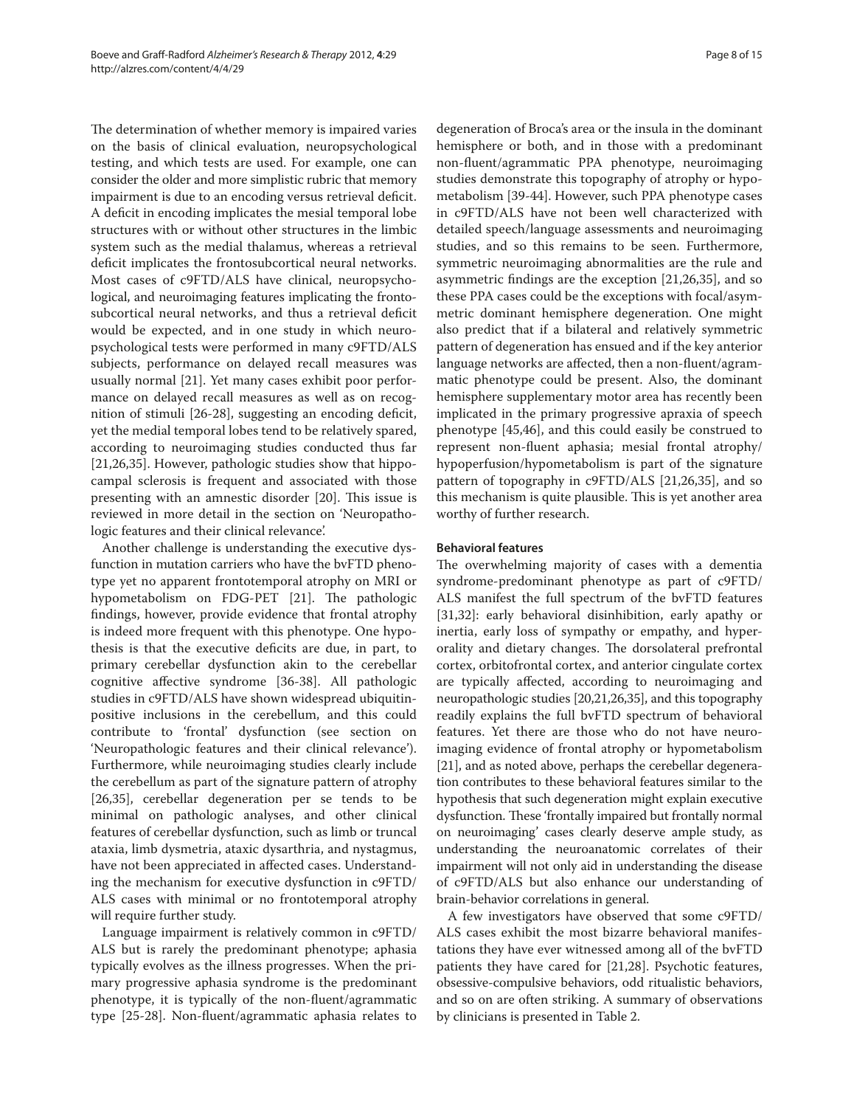The determination of whether memory is impaired varies on the basis of clinical evaluation, neuropsychological testing, and which tests are used. For example, one can consider the older and more simplistic rubric that memory impairment is due to an encoding versus retrieval deficit. A deficit in encoding implicates the mesial temporal lobe structures with or without other structures in the limbic system such as the medial thalamus, whereas a retrieval deficit implicates the frontosubcortical neural networks. Most cases of c9FTD/ALS have clinical, neuropsychological, and neuroimaging features implicating the frontosubcortical neural networks, and thus a retrieval deficit would be expected, and in one study in which neuropsychological tests were performed in many c9FTD/ALS subjects, performance on delayed recall measures was usually normal [21]. Yet many cases exhibit poor performance on delayed recall measures as well as on recognition of stimuli [26-28], suggesting an encoding deficit, yet the medial temporal lobes tend to be relatively spared, according to neuroimaging studies conducted thus far [21,26,35]. However, pathologic studies show that hippocampal sclerosis is frequent and associated with those presenting with an amnestic disorder [20]. This issue is reviewed in more detail in the section on 'Neuropathologic features and their clinical relevance'.

Another challenge is understanding the executive dysfunction in mutation carriers who have the bvFTD phenotype yet no apparent frontotemporal atrophy on MRI or hypometabolism on FDG-PET [21]. The pathologic findings, however, provide evidence that frontal atrophy is indeed more frequent with this phenotype. One hypothesis is that the executive deficits are due, in part, to primary cerebellar dysfunction akin to the cerebellar cognitive affective syndrome [36-38]. All pathologic studies in c9FTD/ALS have shown widespread ubiquitinpositive inclusions in the cerebellum, and this could contribute to 'frontal' dysfunction (see section on 'Neuropathologic features and their clinical relevance'). Furthermore, while neuroimaging studies clearly include the cerebellum as part of the signature pattern of atrophy [26,35], cerebellar degeneration per se tends to be minimal on pathologic analyses, and other clinical features of cerebellar dysfunction, such as limb or truncal ataxia, limb dysmetria, ataxic dysarthria, and nystagmus, have not been appreciated in affected cases. Understanding the mechanism for executive dysfunction in c9FTD/ ALS cases with minimal or no frontotemporal atrophy will require further study.

Language impairment is relatively common in c9FTD/ ALS but is rarely the predominant phenotype; aphasia typically evolves as the illness progresses. When the primary progressive aphasia syndrome is the predominant phenotype, it is typically of the non-fluent/agrammatic type [25-28]. Non-fluent/agrammatic aphasia relates to degeneration of Broca's area or the insula in the dominant hemisphere or both, and in those with a predominant non-fluent/agrammatic PPA phenotype, neuroimaging studies demonstrate this topography of atrophy or hypometabolism [39-44]. However, such PPA phenotype cases in c9FTD/ALS have not been well characterized with detailed speech/language assessments and neuroimaging studies, and so this remains to be seen. Furthermore, symmetric neuroimaging abnormalities are the rule and asymmetric findings are the exception [21,26,35], and so these PPA cases could be the exceptions with focal/asymmetric dominant hemisphere degeneration. One might also predict that if a bilateral and relatively symmetric pattern of degeneration has ensued and if the key anterior language networks are affected, then a non-fluent/agrammatic phenotype could be present. Also, the dominant hemisphere supplementary motor area has recently been implicated in the primary progressive apraxia of speech phenotype [45,46], and this could easily be construed to represent non-fluent aphasia; mesial frontal atrophy/ hypoperfusion/hypometabolism is part of the signature pattern of topography in c9FTD/ALS [21,26,35], and so this mechanism is quite plausible. This is yet another area worthy of further research.

## **Behavioral features**

The overwhelming majority of cases with a dementia syndrome-predominant phenotype as part of c9FTD/ ALS manifest the full spectrum of the bvFTD features [31,32]: early behavioral disinhibition, early apathy or inertia, early loss of sympathy or empathy, and hyperorality and dietary changes. The dorsolateral prefrontal cortex, orbitofrontal cortex, and anterior cingulate cortex are typically affected, according to neuroimaging and neuropathologic studies [20,21,26,35], and this topography readily explains the full bvFTD spectrum of behavioral features. Yet there are those who do not have neuroimaging evidence of frontal atrophy or hypometabolism [21], and as noted above, perhaps the cerebellar degeneration contributes to these behavioral features similar to the hypothesis that such degeneration might explain executive dysfunction. These 'frontally impaired but frontally normal on neuroimaging' cases clearly deserve ample study, as understanding the neuroanatomic correlates of their impairment will not only aid in understanding the disease of c9FTD/ALS but also enhance our understanding of brain-behavior correlations in general.

A few investigators have observed that some c9FTD/ ALS cases exhibit the most bizarre behavioral manifestations they have ever witnessed among all of the bvFTD patients they have cared for [21,28]. Psychotic features, obsessive-compulsive behaviors, odd ritualistic behaviors, and so on are often striking. A summary of observations by clinicians is presented in Table 2.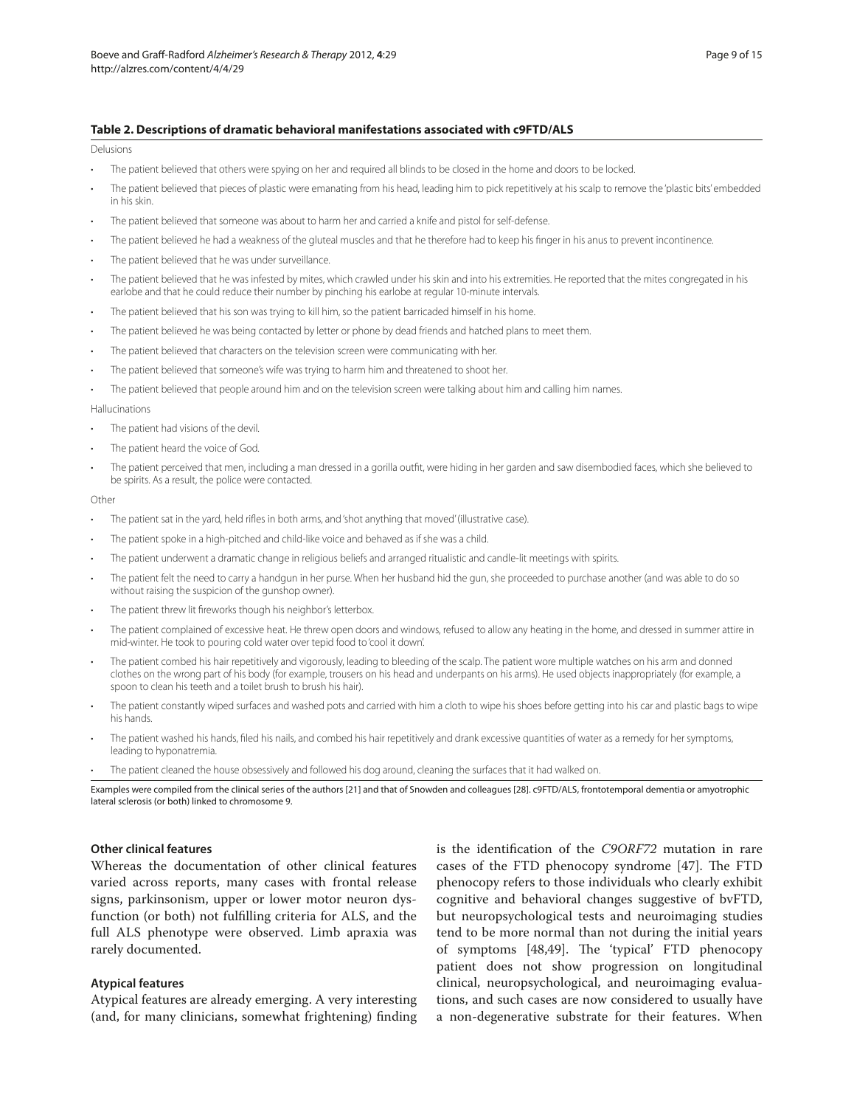#### **Table 2. Descriptions of dramatic behavioral manifestations associated with c9FTD/ALS**

#### Delusions

- The patient believed that others were spying on her and required all blinds to be closed in the home and doors to be locked.
- The patient believed that pieces of plastic were emanating from his head, leading him to pick repetitively at his scalp to remove the 'plastic bits' embedded in his skin.
- The patient believed that someone was about to harm her and carried a knife and pistol for self-defense.
- The patient believed he had a weakness of the gluteal muscles and that he therefore had to keep his finger in his anus to prevent incontinence.
- The patient believed that he was under surveillance.
- The patient believed that he was infested by mites, which crawled under his skin and into his extremities. He reported that the mites congregated in his earlobe and that he could reduce their number by pinching his earlobe at regular 10-minute intervals.
- The patient believed that his son was trying to kill him, so the patient barricaded himself in his home.
- The patient believed he was being contacted by letter or phone by dead friends and hatched plans to meet them.
- The patient believed that characters on the television screen were communicating with her.
- The patient believed that someone's wife was trying to harm him and threatened to shoot her.
- The patient believed that people around him and on the television screen were talking about him and calling him names.

#### Hallucinations

- The patient had visions of the devil.
- The patient heard the voice of God.
- The patient perceived that men, including a man dressed in a gorilla outfit, were hiding in her garden and saw disembodied faces, which she believed to be spirits. As a result, the police were contacted.

#### **Other**

- The patient sat in the yard, held rifles in both arms, and 'shot anything that moved' (illustrative case).
- The patient spoke in a high-pitched and child-like voice and behaved as if she was a child.
- The patient underwent a dramatic change in religious beliefs and arranged ritualistic and candle-lit meetings with spirits.
- The patient felt the need to carry a handgun in her purse. When her husband hid the gun, she proceeded to purchase another (and was able to do so without raising the suspicion of the gunshop owner).
- The patient threw lit fireworks though his neighbor's letterbox.
- The patient complained of excessive heat. He threw open doors and windows, refused to allow any heating in the home, and dressed in summer attire in mid-winter. He took to pouring cold water over tepid food to 'cool it down'.
- The patient combed his hair repetitively and vigorously, leading to bleeding of the scalp. The patient wore multiple watches on his arm and donned clothes on the wrong part of his body (for example, trousers on his head and underpants on his arms). He used objects inappropriately (for example, a spoon to clean his teeth and a toilet brush to brush his hair).
- The patient constantly wiped surfaces and washed pots and carried with him a cloth to wipe his shoes before getting into his car and plastic bags to wipe his hands.
- The patient washed his hands, filed his nails, and combed his hair repetitively and drank excessive quantities of water as a remedy for her symptoms, leading to hyponatremia.
- The patient cleaned the house obsessively and followed his dog around, cleaning the surfaces that it had walked on.

Examples were compiled from the clinical series of the authors [21] and that of Snowden and colleagues [28]. c9FTD/ALS, frontotemporal dementia or amyotrophic lateral sclerosis (or both) linked to chromosome 9.

## **Other clinical features**

Whereas the documentation of other clinical features varied across reports, many cases with frontal release signs, parkinsonism, upper or lower motor neuron dysfunction (or both) not fulfilling criteria for ALS, and the full ALS phenotype were observed. Limb apraxia was rarely documented.

#### **Atypical features**

Atypical features are already emerging. A very interesting (and, for many clinicians, somewhat frightening) finding is the identification of the *C9ORF72* mutation in rare cases of the FTD phenocopy syndrome [47]. The FTD phenocopy refers to those individuals who clearly exhibit cognitive and behavioral changes suggestive of bvFTD, but neuropsychological tests and neuroimaging studies tend to be more normal than not during the initial years of symptoms [48,49]. The 'typical' FTD phenocopy patient does not show progression on longitudinal clinical, neuropsychological, and neuroimaging evaluations, and such cases are now considered to usually have a non-degenerative substrate for their features. When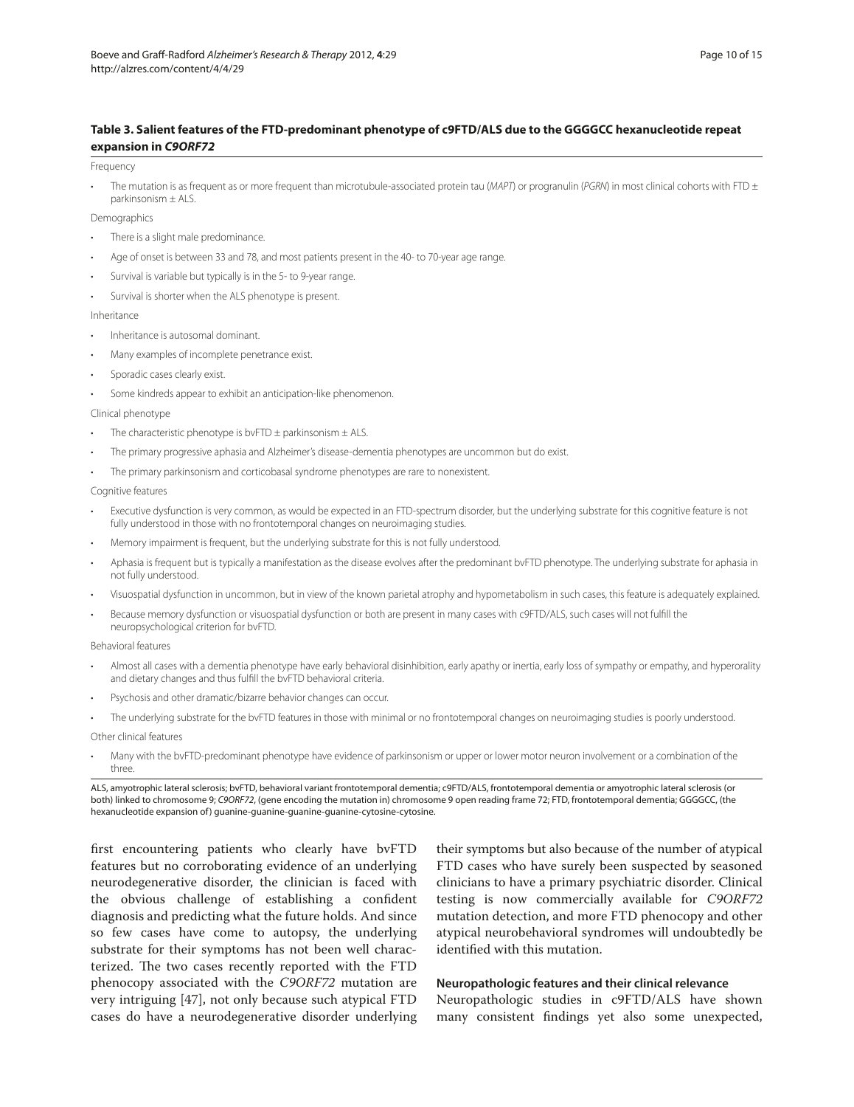# **Table 3. Salient features of the FTD-predominant phenotype of c9FTD/ALS due to the GGGGCC hexanucleotide repeat expansion in** *C9ORF72*

Frequency

The mutation is as frequent as or more frequent than microtubule-associated protein tau (*MAPT*) or progranulin (*PGRN*) in most clinical cohorts with FTD ± parkinsonism ± ALS.

Demographics

- There is a slight male predominance.
- Age of onset is between 33 and 78, and most patients present in the 40- to 70-year age range.
- Survival is variable but typically is in the 5- to 9-year range.
- Survival is shorter when the ALS phenotype is present.

Inheritance

- Inheritance is autosomal dominant
- Many examples of incomplete penetrance exist.
- Sporadic cases clearly exist.
- Some kindreds appear to exhibit an anticipation-like phenomenon.

Clinical phenotype

- The characteristic phenotype is bvFTD  $\pm$  parkinsonism  $\pm$  ALS.
- The primary progressive aphasia and Alzheimer's disease-dementia phenotypes are uncommon but do exist.
- The primary parkinsonism and corticobasal syndrome phenotypes are rare to nonexistent.

Cognitive features

- Executive dysfunction is very common, as would be expected in an FTD-spectrum disorder, but the underlying substrate for this cognitive feature is not fully understood in those with no frontotemporal changes on neuroimaging studies.
- Memory impairment is frequent, but the underlying substrate for this is not fully understood.
- Aphasia is frequent but is typically a manifestation as the disease evolves after the predominant bvFTD phenotype. The underlying substrate for aphasia in not fully understood.
- Visuospatial dysfunction in uncommon, but in view of the known parietal atrophy and hypometabolism in such cases, this feature is adequately explained.
- Because memory dysfunction or visuospatial dysfunction or both are present in many cases with c9FTD/ALS, such cases will not fulfill the neuropsychological criterion for bvFTD.

Behavioral features

- Almost all cases with a dementia phenotype have early behavioral disinhibition, early apathy or inertia, early loss of sympathy or empathy, and hyperorality and dietary changes and thus fulfill the bvFTD behavioral criteria.
- Psychosis and other dramatic/bizarre behavior changes can occur.
- The underlying substrate for the bvFTD features in those with minimal or no frontotemporal changes on neuroimaging studies is poorly understood.

Other clinical features

Many with the bvFTD-predominant phenotype have evidence of parkinsonism or upper or lower motor neuron involvement or a combination of the three.

ALS, amyotrophic lateral sclerosis; bvFTD, behavioral variant frontotemporal dementia; c9FTD/ALS, frontotemporal dementia or amyotrophic lateral sclerosis (or both) linked to chromosome 9; *C9ORF72*, (gene encoding the mutation in) chromosome 9 open reading frame 72; FTD, frontotemporal dementia; GGGGCC, (the hexanucleotide expansion of) guanine-guanine-guanine-guanine-cytosine-cytosine.

first encountering patients who clearly have bvFTD features but no corroborating evidence of an underlying neurodegenerative disorder, the clinician is faced with the obvious challenge of establishing a confident diagnosis and predicting what the future holds. And since so few cases have come to autopsy, the underlying substrate for their symptoms has not been well characterized. The two cases recently reported with the FTD phenocopy associated with the *C9ORF72* mutation are very intriguing [47], not only because such atypical FTD cases do have a neurodegenerative disorder underlying

their symptoms but also because of the number of atypical FTD cases who have surely been suspected by seasoned clinicians to have a primary psychiatric disorder. Clinical testing is now commercially available for *C9ORF72* mutation detection, and more FTD phenocopy and other atypical neurobehavioral syndromes will undoubtedly be identified with this mutation.

## **Neuropathologic features and their clinical relevance**

Neuropathologic studies in c9FTD/ALS have shown many consistent findings yet also some unexpected,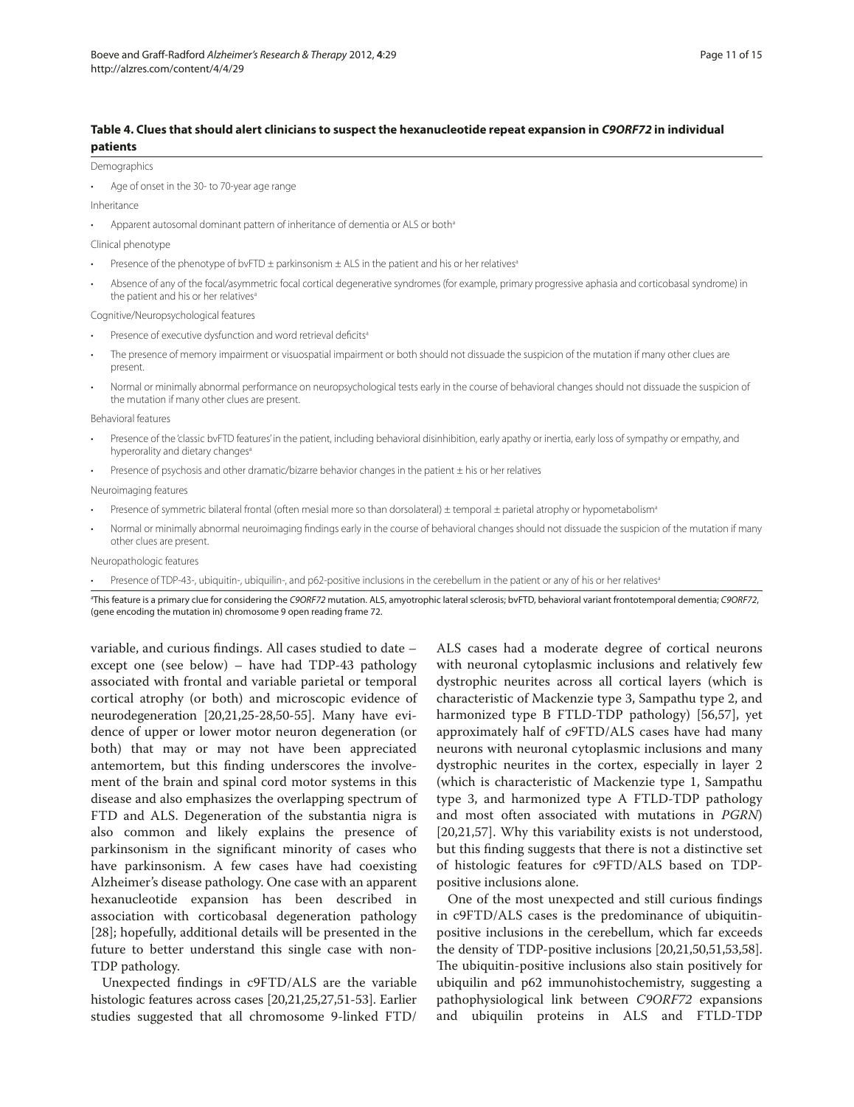# **Table 4. Clues that should alert clinicians to suspect the hexanucleotide repeat expansion in** *C9ORF72* **in individual patients**

#### Demographics

Age of onset in the 30- to 70-year age range

Inheritance

• Apparent autosomal dominant pattern of inheritance of dementia or ALS or both<sup>a</sup>

Clinical phenotype

- Presence of the phenotype of bvFTD  $\pm$  parkinsonism  $\pm$  ALS in the patient and his or her relatives<sup>a</sup>
- Absence of any of the focal/asymmetric focal cortical degenerative syndromes (for example, primary progressive aphasia and corticobasal syndrome) in the patient and his or her relatives<sup>a</sup>

Cognitive/Neuropsychological features

- Presence of executive dysfunction and word retrieval deficits<sup>a</sup>
- The presence of memory impairment or visuospatial impairment or both should not dissuade the suspicion of the mutation if many other clues are present.
- Normal or minimally abnormal performance on neuropsychological tests early in the course of behavioral changes should not dissuade the suspicion of the mutation if many other clues are present.

Behavioral features

- Presence of the 'classic bvFTD features' in the patient, including behavioral disinhibition, early apathy or inertia, early loss of sympathy or empathy, and hyperorality and dietary changes<sup>a</sup>
- Presence of psychosis and other dramatic/bizarre behavior changes in the patient ± his or her relatives

Neuroimaging features

- Presence of symmetric bilateral frontal (often mesial more so than dorsolateral) ± temporal ± parietal atrophy or hypometabolism<sup>a</sup>
- Normal or minimally abnormal neuroimaging findings early in the course of behavioral changes should not dissuade the suspicion of the mutation if many other clues are present.

Neuropathologic features

Presence of TDP-43-, ubiquitin-, ubiquilin-, and p62-positive inclusions in the cerebellum in the patient or any of his or her relatives<sup>a</sup>

a This feature is a primary clue for considering the *C9ORF72* mutation. ALS, amyotrophic lateral sclerosis; bvFTD, behavioral variant frontotemporal dementia; *C9ORF72*, (gene encoding the mutation in) chromosome 9 open reading frame 72.

variable, and curious findings. All cases studied to date – except one (see below) – have had TDP-43 pathology associated with frontal and variable parietal or temporal cortical atrophy (or both) and microscopic evidence of neurodegeneration [20,21,25-28,50-55]. Many have evidence of upper or lower motor neuron degeneration (or both) that may or may not have been appreciated antemortem, but this finding underscores the involvement of the brain and spinal cord motor systems in this disease and also emphasizes the overlapping spectrum of FTD and ALS. Degeneration of the substantia nigra is also common and likely explains the presence of parkinsonism in the significant minority of cases who have parkinsonism. A few cases have had coexisting Alzheimer's disease pathology. One case with an apparent hexanucleotide expansion has been described in association with corticobasal degeneration pathology [28]; hopefully, additional details will be presented in the future to better understand this single case with non-TDP pathology.

Unexpected findings in c9FTD/ALS are the variable histologic features across cases [20,21,25,27,51-53]. Earlier studies suggested that all chromosome 9-linked FTD/

ALS cases had a moderate degree of cortical neurons with neuronal cytoplasmic inclusions and relatively few dystrophic neurites across all cortical layers (which is characteristic of Mackenzie type 3, Sampathu type 2, and harmonized type B FTLD-TDP pathology) [56,57], yet approximately half of c9FTD/ALS cases have had many neurons with neuronal cytoplasmic inclusions and many dystrophic neurites in the cortex, especially in layer 2 (which is characteristic of Mackenzie type 1, Sampathu type 3, and harmonized type A FTLD-TDP pathology and most often associated with mutations in *PGRN*) [20,21,57]. Why this variability exists is not understood, but this finding suggests that there is not a distinctive set of histologic features for c9FTD/ALS based on TDPpositive inclusions alone.

One of the most unexpected and still curious findings in c9FTD/ALS cases is the predominance of ubiquitinpositive inclusions in the cerebellum, which far exceeds the density of TDP-positive inclusions [20,21,50,51,53,58]. The ubiquitin-positive inclusions also stain positively for ubiquilin and p62 immunohistochemistry, suggesting a pathophysiological link between *C9ORF72* expansions and ubiquilin proteins in ALS and FTLD-TDP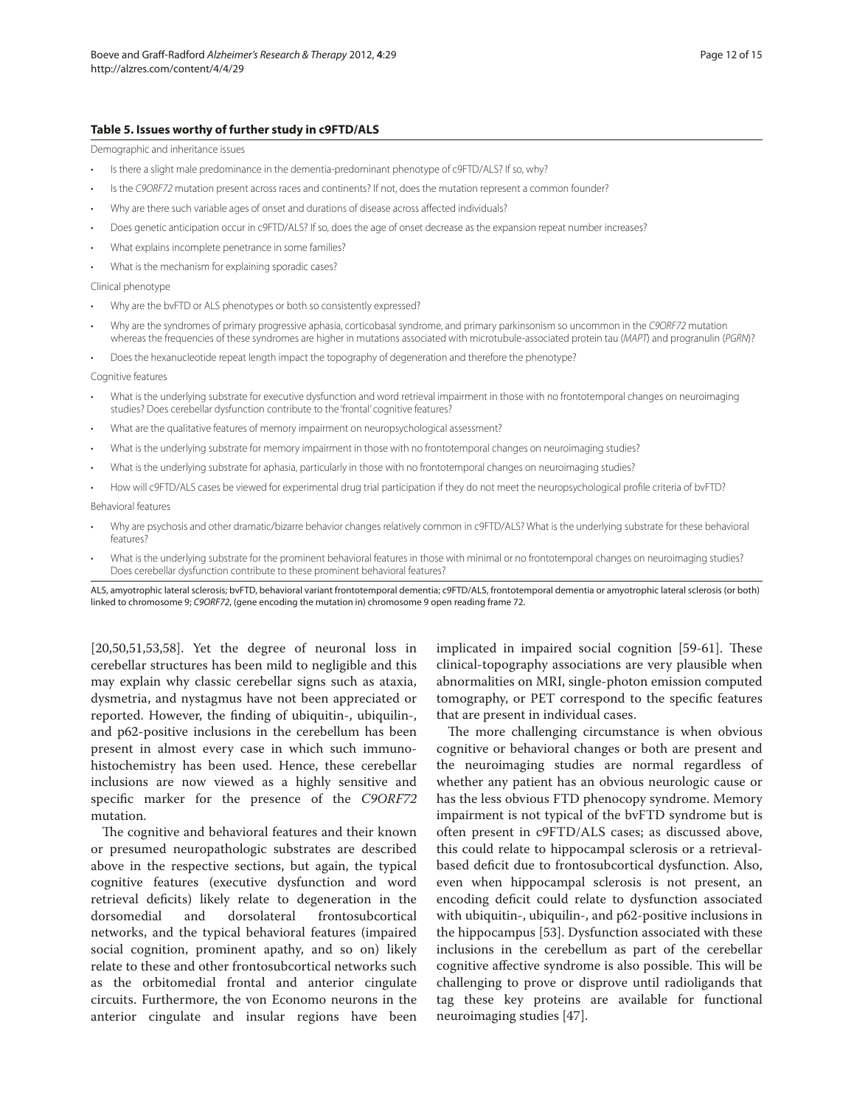### **Table 5. Issues worthy of further study in c9FTD/ALS**

Demographic and inheritance issues

- Is there a slight male predominance in the dementia-predominant phenotype of c9FTD/ALS? If so, why?
- Is the *C9ORF72* mutation present across races and continents? If not, does the mutation represent a common founder?
- Why are there such variable ages of onset and durations of disease across affected individuals?
- Does genetic anticipation occur in c9FTD/ALS? If so, does the age of onset decrease as the expansion repeat number increases?
- What explains incomplete penetrance in some families?
- What is the mechanism for explaining sporadic cases?

#### Clinical phenotype

- Why are the bvFTD or ALS phenotypes or both so consistently expressed?
- • Why are the syndromes of primary progressive aphasia, corticobasal syndrome, and primary parkinsonism so uncommon in the *C9ORF72* mutation whereas the frequencies of these syndromes are higher in mutations associated with microtubule-associated protein tau (*MAPT*) and progranulin (*PGRN*)?
- Does the hexanucleotide repeat length impact the topography of degeneration and therefore the phenotype?

Cognitive features

- What is the underlying substrate for executive dysfunction and word retrieval impairment in those with no frontotemporal changes on neuroimaging studies? Does cerebellar dysfunction contribute to the 'frontal' cognitive features?
- What are the qualitative features of memory impairment on neuropsychological assessment?
- What is the underlying substrate for memory impairment in those with no frontotemporal changes on neuroimaging studies?
- What is the underlying substrate for aphasia, particularly in those with no frontotemporal changes on neuroimaging studies?
- How will c9FTD/ALS cases be viewed for experimental drug trial participation if they do not meet the neuropsychological profile criteria of bvFTD?

Behavioral features

- Why are psychosis and other dramatic/bizarre behavior changes relatively common in c9FTD/ALS? What is the underlying substrate for these behavioral features?
- What is the underlying substrate for the prominent behavioral features in those with minimal or no frontotemporal changes on neuroimaging studies? Does cerebellar dysfunction contribute to these prominent behavioral features?

ALS, amyotrophic lateral sclerosis; bvFTD, behavioral variant frontotemporal dementia; c9FTD/ALS, frontotemporal dementia or amyotrophic lateral sclerosis (or both) linked to chromosome 9; *C9ORF72*, (gene encoding the mutation in) chromosome 9 open reading frame 72.

[20,50,51,53,58]. Yet the degree of neuronal loss in cerebellar structures has been mild to negligible and this may explain why classic cerebellar signs such as ataxia, dysmetria, and nystagmus have not been appreciated or reported. However, the finding of ubiquitin-, ubiquilin-, and p62-positive inclusions in the cerebellum has been present in almost every case in which such immunohistochemistry has been used. Hence, these cerebellar inclusions are now viewed as a highly sensitive and specific marker for the presence of the *C9ORF72* mutation.

The cognitive and behavioral features and their known or presumed neuropathologic substrates are described above in the respective sections, but again, the typical cognitive features (executive dysfunction and word retrieval deficits) likely relate to degeneration in the dorsomedial and dorsolateral frontosubcortical networks, and the typical behavioral features (impaired social cognition, prominent apathy, and so on) likely relate to these and other frontosubcortical networks such as the orbitomedial frontal and anterior cingulate circuits. Furthermore, the von Economo neurons in the anterior cingulate and insular regions have been implicated in impaired social cognition [59-61]. These clinical-topography associations are very plausible when abnormalities on MRI, single-photon emission computed tomography, or PET correspond to the specific features that are present in individual cases.

The more challenging circumstance is when obvious cognitive or behavioral changes or both are present and the neuroimaging studies are normal regardless of whether any patient has an obvious neurologic cause or has the less obvious FTD phenocopy syndrome. Memory impairment is not typical of the bvFTD syndrome but is often present in c9FTD/ALS cases; as discussed above, this could relate to hippocampal sclerosis or a retrievalbased deficit due to frontosubcortical dysfunction. Also, even when hippocampal sclerosis is not present, an encoding deficit could relate to dysfunction associated with ubiquitin-, ubiquilin-, and p62-positive inclusions in the hippocampus [53]. Dysfunction associated with these inclusions in the cerebellum as part of the cerebellar cognitive affective syndrome is also possible. This will be challenging to prove or disprove until radioligands that tag these key proteins are available for functional neuroimaging studies [47].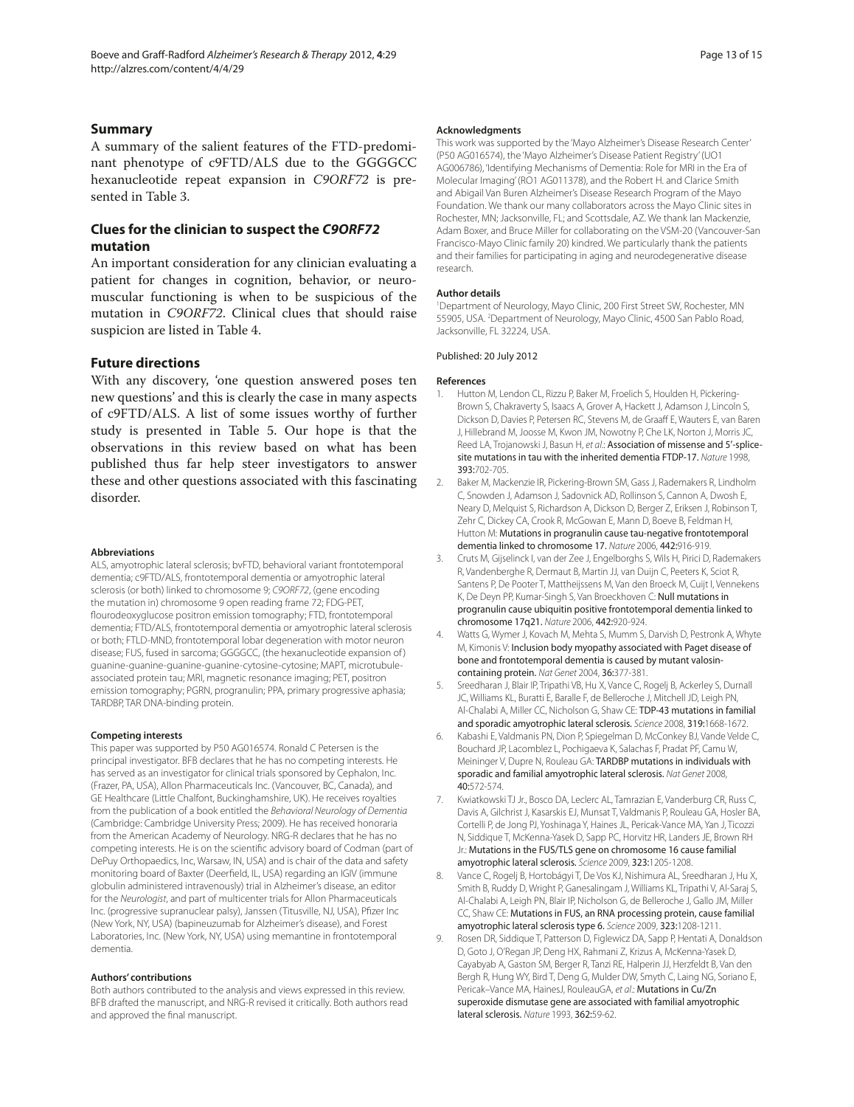## **Summary**

A summary of the salient features of the FTD-predominant phenotype of c9FTD/ALS due to the GGGGCC hexanucleotide repeat expansion in *C9ORF72* is presented in Table 3.

# **Clues for the clinician to suspect the** *C9ORF72* **mutation**

An important consideration for any clinician evaluating a patient for changes in cognition, behavior, or neuromuscular functioning is when to be suspicious of the mutation in *C9ORF72*. Clinical clues that should raise suspicion are listed in Table 4.

# **Future directions**

With any discovery, 'one question answered poses ten new questions' and this is clearly the case in many aspects of c9FTD/ALS. A list of some issues worthy of further study is presented in Table 5. Our hope is that the observations in this review based on what has been published thus far help steer investigators to answer these and other questions associated with this fascinating disorder.

#### **Abbreviations**

ALS, amyotrophic lateral sclerosis; bvFTD, behavioral variant frontotemporal dementia; c9FTD/ALS, frontotemporal dementia or amyotrophic lateral sclerosis (or both) linked to chromosome 9; *C9ORF72*, (gene encoding the mutation in) chromosome 9 open reading frame 72; FDG-PET, flourodeoxyglucose positron emission tomography; FTD, frontotemporal dementia; FTD/ALS, frontotemporal dementia or amyotrophic lateral sclerosis or both; FTLD-MND, frontotemporal lobar degeneration with motor neuron disease; FUS, fused in sarcoma; GGGGCC, (the hexanucleotide expansion of ) guanine-guanine-guanine-guanine-cytosine-cytosine; MAPT, microtubuleassociated protein tau; MRI, magnetic resonance imaging; PET, positron emission tomography; PGRN, progranulin; PPA, primary progressive aphasia; TARDBP, TAR DNA-binding protein.

#### **Competing interests**

This paper was supported by P50 AG016574. Ronald C Petersen is the principal investigator. BFB declares that he has no competing interests. He has served as an investigator for clinical trials sponsored by Cephalon, Inc. (Frazer, PA, USA), Allon Pharmaceuticals Inc. (Vancouver, BC, Canada), and GE Healthcare (Little Chalfont, Buckinghamshire, UK). He receives royalties from the publication of a book entitled the *Behavioral Neurology of Dementia* (Cambridge: Cambridge University Press; 2009). He has received honoraria from the American Academy of Neurology. NRG-R declares that he has no competing interests. He is on the scientific advisory board of Codman (part of DePuy Orthopaedics, Inc, Warsaw, IN, USA) and is chair of the data and safety monitoring board of Baxter (Deerfield, IL, USA) regarding an IGIV (immune globulin administered intravenously) trial in Alzheimer's disease, an editor for the *Neurologist*, and part of multicenter trials for Allon Pharmaceuticals Inc. (progressive supranuclear palsy), Janssen (Titusville, NJ, USA), Pfizer Inc (New York, NY, USA) (bapineuzumab for Alzheimer's disease), and Forest Laboratories, Inc. (New York, NY, USA) using memantine in frontotemporal dementia.

#### **Authors' contributions**

Both authors contributed to the analysis and views expressed in this review. BFB drafted the manuscript, and NRG-R revised it critically. Both authors read and approved the final manuscript.

#### **Acknowledgments**

This work was supported by the 'Mayo Alzheimer's Disease Research Center' (P50 AG016574), the 'Mayo Alzheimer's Disease Patient Registry' (UO1 AG006786), 'Identifying Mechanisms of Dementia: Role for MRI in the Era of Molecular Imaging' (RO1 AG011378), and the Robert H. and Clarice Smith and Abigail Van Buren Alzheimer's Disease Research Program of the Mayo Foundation. We thank our many collaborators across the Mayo Clinic sites in Rochester, MN; Jacksonville, FL; and Scottsdale, AZ. We thank Ian Mackenzie, Adam Boxer, and Bruce Miller for collaborating on the VSM-20 (Vancouver-San Francisco-Mayo Clinic family 20) kindred. We particularly thank the patients and their families for participating in aging and neurodegenerative disease research.

### **Author details**

1 Department of Neurology, Mayo Clinic, 200 First Street SW, Rochester, MN 55905, USA. 2 Department of Neurology, Mayo Clinic, 4500 San Pablo Road, Jacksonville, FL 32224, USA.

### Published: 20 July 2012

### **References**

- 1. Hutton M, Lendon CL, Rizzu P, Baker M, Froelich S, Houlden H, Pickering-Brown S, Chakraverty S, Isaacs A, Grover A, Hackett J, Adamson J, Lincoln S, Dickson D, Davies P, Petersen RC, Stevens M, de Graaff E, Wauters E, van Baren J, Hillebrand M, Joosse M, Kwon JM, Nowotny P, Che LK, Norton J, Morris JC, Reed LA, Trojanowski J, Basun H, *et al*.: Association of missense and 5'-splicesite mutations in tau with the inherited dementia FTDP-17. *Nature* 1998, 393:702-705.
- 2. Baker M, Mackenzie IR, Pickering-Brown SM, Gass J, Rademakers R, Lindholm C, Snowden J, Adamson J, Sadovnick AD, Rollinson S, Cannon A, Dwosh E, Neary D, Melquist S, Richardson A, Dickson D, Berger Z, Eriksen J, Robinson T, Zehr C, Dickey CA, Crook R, McGowan E, Mann D, Boeve B, Feldman H, Hutton M: Mutations in progranulin cause tau-negative frontotemporal dementia linked to chromosome 17. *Nature* 2006, 442:916-919.
- 3. Cruts M, Gijselinck I, van der Zee J, Engelborghs S, Wils H, Pirici D, Rademakers R, Vandenberghe R, Dermaut B, Martin JJ, van Duijn C, Peeters K, Sciot R, Santens P, De Pooter T, Mattheijssens M, Van den Broeck M, Cuijt I, Vennekens K, De Deyn PP, Kumar-Singh S, Van Broeckhoven C: Null mutations in progranulin cause ubiquitin positive frontotemporal dementia linked to chromosome 17q21. *Nature* 2006, 442:920-924.
- 4. Watts G, Wymer J, Kovach M, Mehta S, Mumm S, Darvish D, Pestronk A, Whyte M, Kimonis V: Inclusion body myopathy associated with Paget disease of bone and frontotemporal dementia is caused by mutant valosincontaining protein. *Nat Genet* 2004, 36:377-381.
- 5. Sreedharan J, Blair IP, Tripathi VB, Hu X, Vance C, Rogelj B, Ackerley S, Durnall JC, Williams KL, Buratti E, Baralle F, de Belleroche J, Mitchell JD, Leigh PN, Al-Chalabi A, Miller CC, Nicholson G, Shaw CE: TDP-43 mutations in familial and sporadic amyotrophic lateral sclerosis. *Science* 2008, 319:1668-1672.
- 6. Kabashi E, Valdmanis PN, Dion P, Spiegelman D, McConkey BJ, Vande Velde C, Bouchard JP, Lacomblez L, Pochigaeva K, Salachas F, Pradat PF, Camu W, Meininger V, Dupre N, Rouleau GA: TARDBP mutations in individuals with sporadic and familial amyotrophic lateral sclerosis. *Nat Genet* 2008, 40:572-574.
- 7. Kwiatkowski TJ Jr., Bosco DA, Leclerc AL, Tamrazian E, Vanderburg CR, Russ C, Davis A, Gilchrist J, Kasarskis EJ, Munsat T, Valdmanis P, Rouleau GA, Hosler BA, Cortelli P, de Jong PJ, Yoshinaga Y, Haines JL, Pericak-Vance MA, Yan J, Ticozzi N, Siddique T, McKenna-Yasek D, Sapp PC, Horvitz HR, Landers JE, Brown RH Jr.: Mutations in the FUS/TLS gene on chromosome 16 cause familial amyotrophic lateral sclerosis. *Science* 2009, 323:1205-1208.
- Vance C, Rogelj B, Hortobágyi T, De Vos KJ, Nishimura AL, Sreedharan J, Hu X, Smith B, Ruddy D, Wright P, Ganesalingam J, Williams KL, Tripathi V, Al-Saraj S, Al-Chalabi A, Leigh PN, Blair IP, Nicholson G, de Belleroche J, Gallo JM, Miller CC, Shaw CE: Mutations in FUS, an RNA processing protein, cause familial amyotrophic lateral sclerosis type 6. *Science* 2009, 323:1208-1211.
- 9. Rosen DR, Siddique T, Patterson D, Figlewicz DA, Sapp P, Hentati A, Donaldson D, Goto J, O'Regan JP, Deng HX, Rahmani Z, Krizus A, McKenna-Yasek D, Cayabyab A, Gaston SM, Berger R, Tanzi RE, Halperin JJ, Herzfeldt B, Van den Bergh R, Hung WY, Bird T, Deng G, Mulder DW, Smyth C, Laing NG, Soriano E, Pericak–Vance MA, HainesJ, RouleauGA, *et al*.: Mutations in Cu/Zn superoxide dismutase gene are associated with familial amyotrophic lateral sclerosis. *Nature* 1993, 362:59-62.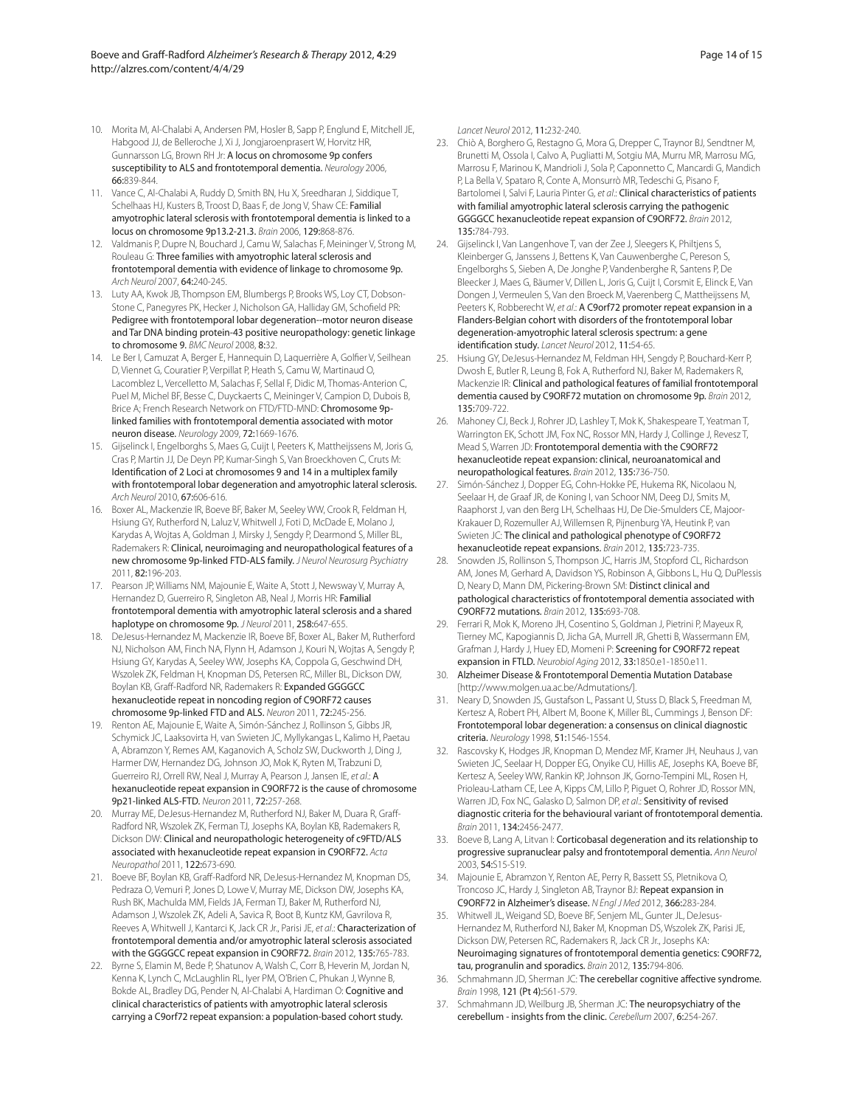- 10. Morita M, Al-Chalabi A, Andersen PM, Hosler B, Sapp P, Englund E, Mitchell JE, Habgood JJ, de Belleroche J, Xi J, Jongjaroenprasert W, Horvitz HR, Gunnarsson LG, Brown RH Jr: A locus on chromosome 9p confers susceptibility to ALS and frontotemporal dementia. *Neurology* 2006, 66:839-844.
- 11. Vance C, Al-Chalabi A, Ruddy D, Smith BN, Hu X, Sreedharan J, Siddique T, Schelhaas HJ, Kusters B, Troost D, Baas F, de Jong V, Shaw CE: Familial amyotrophic lateral sclerosis with frontotemporal dementia is linked to a locus on chromosome 9p13.2-21.3. *Brain* 2006, 129:868-876.
- Valdmanis P, Dupre N, Bouchard J, Camu W, Salachas F, Meininger V, Strong M, Rouleau G: Three families with amyotrophic lateral sclerosis and frontotemporal dementia with evidence of linkage to chromosome 9p. *Arch Neurol* 2007, 64:240-245.
- 13. Luty AA, Kwok JB, Thompson EM, Blumbergs P, Brooks WS, Loy CT, Dobson-Stone C, Panegyres PK, Hecker J, Nicholson GA, Halliday GM, Schofield PR: Pedigree with frontotemporal lobar degeneration--motor neuron disease and Tar DNA binding protein-43 positive neuropathology: genetic linkage to chromosome 9. *BMC Neurol* 2008, 8:32.
- 14. Le Ber I, Camuzat A, Berger E, Hannequin D, Laquerrière A, Golfier V, Seilhean D, Viennet G, Couratier P, Verpillat P, Heath S, Camu W, Martinaud O, Lacomblez L, Vercelletto M, Salachas F, Sellal F, Didic M, Thomas-Anterion C, Puel M, Michel BF, Besse C, Duyckaerts C, Meininger V, Campion D, Dubois B, Brice A; French Research Network on FTD/FTD-MND: Chromosome 9plinked families with frontotemporal dementia associated with motor neuron disease. *Neurology* 2009, 72:1669-1676.
- 15. Gijselinck I, Engelborghs S, Maes G, Cuijt I, Peeters K, Mattheijssens M, Joris G, Cras P, Martin JJ, De Deyn PP, Kumar-Singh S, Van Broeckhoven C, Cruts M: Identification of 2 Loci at chromosomes 9 and 14 in a multiplex family with frontotemporal lobar degeneration and amyotrophic lateral sclerosis. *Arch Neurol* 2010, 67:606-616.
- 16. Boxer AL, Mackenzie IR, Boeve BF, Baker M, Seeley WW, Crook R, Feldman H, Hsiung GY, Rutherford N, Laluz V, Whitwell J, Foti D, McDade E, Molano J, Karydas A, Wojtas A, Goldman J, Mirsky J, Sengdy P, Dearmond S, Miller BL, Rademakers R: Clinical, neuroimaging and neuropathological features of a new chromosome 9p-linked FTD-ALS family. *J Neurol Neurosurg Psychiatry*  2011, 82:196-203.
- 17. Pearson JP, Williams NM, Majounie E, Waite A, Stott J, Newsway V, Murray A, Hernandez D, Guerreiro R, Singleton AB, Neal J, Morris HR: Familial frontotemporal dementia with amyotrophic lateral sclerosis and a shared haplotype on chromosome 9p. *J Neurol* 2011, 258:647-655.
- 18. DeJesus-Hernandez M, Mackenzie IR, Boeve BF, Boxer AL, Baker M, Rutherford NJ, Nicholson AM, Finch NA, Flynn H, Adamson J, Kouri N, Wojtas A, Sengdy P, Hsiung GY, Karydas A, Seeley WW, Josephs KA, Coppola G, Geschwind DH, Wszolek ZK, Feldman H, Knopman DS, Petersen RC, Miller BL, Dickson DW, Boylan KB, Graff-Radford NR, Rademakers R: Expanded GGGGCC hexanucleotide repeat in noncoding region of C9ORF72 causes chromosome 9p-linked FTD and ALS. *Neuron* 2011, 72:245-256.
- 19. Renton AE, Majounie E, Waite A, Simón-Sánchez J, Rollinson S, Gibbs JR, Schymick JC, Laaksovirta H, van Swieten JC, Myllykangas L, Kalimo H, Paetau A, Abramzon Y, Remes AM, Kaganovich A, Scholz SW, Duckworth J, Ding J, Harmer DW, Hernandez DG, Johnson JO, Mok K, Ryten M, Trabzuni D, Guerreiro RJ, Orrell RW, Neal J, Murray A, Pearson J, Jansen IE, *et al*.: A hexanucleotide repeat expansion in C9ORF72 is the cause of chromosome 9p21-linked ALS-FTD. *Neuron* 2011, 72:257-268.
- 20. Murray ME, DeJesus-Hernandez M, Rutherford NJ, Baker M, Duara R, Graff-Radford NR, Wszolek ZK, Ferman TJ, Josephs KA, Boylan KB, Rademakers R, Dickson DW: Clinical and neuropathologic heterogeneity of c9FTD/ALS associated with hexanucleotide repeat expansion in C9ORF72. *Acta Neuropathol* 2011, 122:673-690.
- 21. Boeve BF, Boylan KB, Graff-Radford NR, DeJesus-Hernandez M, Knopman DS, Pedraza O, Vemuri P, Jones D, Lowe V, Murray ME, Dickson DW, Josephs KA, Rush BK, Machulda MM, Fields JA, Ferman TJ, Baker M, Rutherford NJ, Adamson J, Wszolek ZK, Adeli A, Savica R, Boot B, Kuntz KM, Gavrilova R, Reeves A, Whitwell J, Kantarci K, Jack CR Jr., Parisi JE, *et al*.: Characterization of frontotemporal dementia and/or amyotrophic lateral sclerosis associated with the GGGGCC repeat expansion in C9ORF72. *Brain* 2012, 135:765-783.
- 22. Byrne S, Elamin M, Bede P, Shatunov A, Walsh C, Corr B, Heverin M, Jordan N, Kenna K, Lynch C, McLaughlin RL, Iyer PM, O'Brien C, Phukan J, Wynne B, Bokde AL, Bradley DG, Pender N, Al-Chalabi A, Hardiman O: Cognitive and clinical characteristics of patients with amyotrophic lateral sclerosis carrying a C9orf72 repeat expansion: a population-based cohort study.

*Lancet Neurol* 2012, 11:232-240.

- 23. Chiò A, Borghero G, Restagno G, Mora G, Drepper C, Traynor BJ, Sendtner M, Brunetti M, Ossola I, Calvo A, Pugliatti M, Sotgiu MA, Murru MR, Marrosu MG, Marrosu F, Marinou K, Mandrioli J, Sola P, Caponnetto C, Mancardi G, Mandich P, La Bella V, Spataro R, Conte A, Monsurrò MR, Tedeschi G, Pisano F, Bartolomei I, Salvi F, Lauria Pinter G, *et al*.: Clinical characteristics of patients with familial amyotrophic lateral sclerosis carrying the pathogenic GGGGCC hexanucleotide repeat expansion of C9ORF72. *Brain* 2012, 135:784-793.
- 24. Gijselinck I, Van Langenhove T, van der Zee J, Sleegers K, Philtjens S, Kleinberger G, Janssens J, Bettens K, Van Cauwenberghe C, Pereson S, Engelborghs S, Sieben A, De Jonghe P, Vandenberghe R, Santens P, De Bleecker J, Maes G, Bäumer V, Dillen L, Joris G, Cuijt I, Corsmit E, Elinck E, Van Dongen J, Vermeulen S, Van den Broeck M, Vaerenberg C, Mattheijssens M, Peeters K, Robberecht W, *et al*.: A C9orf72 promoter repeat expansion in a Flanders-Belgian cohort with disorders of the frontotemporal lobar degeneration-amyotrophic lateral sclerosis spectrum: a gene identification study. *Lancet Neurol* 2012, 11:54-65.
- 25. Hsiung GY, DeJesus-Hernandez M, Feldman HH, Sengdy P, Bouchard-Kerr P, Dwosh E, Butler R, Leung B, Fok A, Rutherford NJ, Baker M, Rademakers R, Mackenzie IR: Clinical and pathological features of familial frontotemporal dementia caused by C9ORF72 mutation on chromosome 9p. *Brain* 2012, 135:709-722.
- 26. Mahoney CJ, Beck J, Rohrer JD, Lashley T, Mok K, Shakespeare T, Yeatman T, Warrington EK, Schott JM, Fox NC, Rossor MN, Hardy J, Collinge J, Revesz T, Mead S, Warren JD: Frontotemporal dementia with the C9ORF72 hexanucleotide repeat expansion: clinical, neuroanatomical and neuropathological features. *Brain* 2012, 135:736-750.
- 27. Simón-Sánchez J, Dopper EG, Cohn-Hokke PE, Hukema RK, Nicolaou N, Seelaar H, de Graaf JR, de Koning I, van Schoor NM, Deeg DJ, Smits M, Raaphorst J, van den Berg LH, Schelhaas HJ, De Die-Smulders CE, Majoor-Krakauer D, Rozemuller AJ, Willemsen R, Pijnenburg YA, Heutink P, van Swieten JC: The clinical and pathological phenotype of C9ORF72 hexanucleotide repeat expansions. *Brain* 2012, 135:723-735.
- 28. Snowden JS, Rollinson S, Thompson JC, Harris JM, Stopford CL, Richardson AM, Jones M, Gerhard A, Davidson YS, Robinson A, Gibbons L, Hu Q, DuPlessis D, Neary D, Mann DM, Pickering-Brown SM: Distinct clinical and pathological characteristics of frontotemporal dementia associated with C9ORF72 mutations. *Brain* 2012, 135:693-708.
- 29. Ferrari R, Mok K, Moreno JH, Cosentino S, Goldman J, Pietrini P, Mayeux R, Tierney MC, Kapogiannis D, Jicha GA, Murrell JR, Ghetti B, Wassermann EM, Grafman J, Hardy J, Huey ED, Momeni P: Screening for C9ORF72 repeat expansion in FTLD. *Neurobiol Aging* 2012, 33:1850.e1-1850.e11.
- 30. Alzheimer Disease & Frontotemporal Dementia Mutation Database [http://www.molgen.ua.ac.be/Admutations/].
- 31. Neary D, Snowden JS, Gustafson L, Passant U, Stuss D, Black S, Freedman M, Kertesz A, Robert PH, Albert M, Boone K, Miller BL, Cummings J, Benson DF: Frontotemporal lobar degeneration: a consensus on clinical diagnostic criteria. *Neurology* 1998, 51:1546-1554.
- 32. Rascovsky K, Hodges JR, Knopman D, Mendez MF, Kramer JH, Neuhaus J, van Swieten JC, Seelaar H, Dopper EG, Onyike CU, Hillis AE, Josephs KA, Boeve BF, Kertesz A, Seeley WW, Rankin KP, Johnson JK, Gorno-Tempini ML, Rosen H, Prioleau-Latham CE, Lee A, Kipps CM, Lillo P, Piguet O, Rohrer JD, Rossor MN, Warren JD, Fox NC, Galasko D, Salmon DP, *et al*.: Sensitivity of revised diagnostic criteria for the behavioural variant of frontotemporal dementia. *Brain* 2011, 134:2456-2477.
- 33. Boeve B, Lang A, Litvan I: Corticobasal degeneration and its relationship to progressive supranuclear palsy and frontotemporal dementia. *Ann Neurol*  2003, 54:S15-S19.
- 34. Majounie E, Abramzon Y, Renton AE, Perry R, Bassett SS, Pletnikova O, Troncoso JC, Hardy J, Singleton AB, Traynor BJ: Repeat expansion in C9ORF72 in Alzheimer's disease. *N Engl J Med* 2012, 366:283-284.
- 35. Whitwell JL, Weigand SD, Boeve BF, Senjem ML, Gunter JL, DeJesus-Hernandez M, Rutherford NJ, Baker M, Knopman DS, Wszolek ZK, Parisi JE, Dickson DW, Petersen RC, Rademakers R, Jack CR Jr., Josephs KA: Neuroimaging signatures of frontotemporal dementia genetics: C9ORF72, tau, progranulin and sporadics. *Brain* 2012, 135:794-806.
- 36. Schmahmann JD, Sherman JC: The cerebellar cognitive affective syndrome. *Brain* 1998, 121 (Pt 4):561-579.
- 37. Schmahmann JD, Weilburg JB, Sherman JC: The neuropsychiatry of the cerebellum - insights from the clinic. *Cerebellum* 2007, 6:254-267.